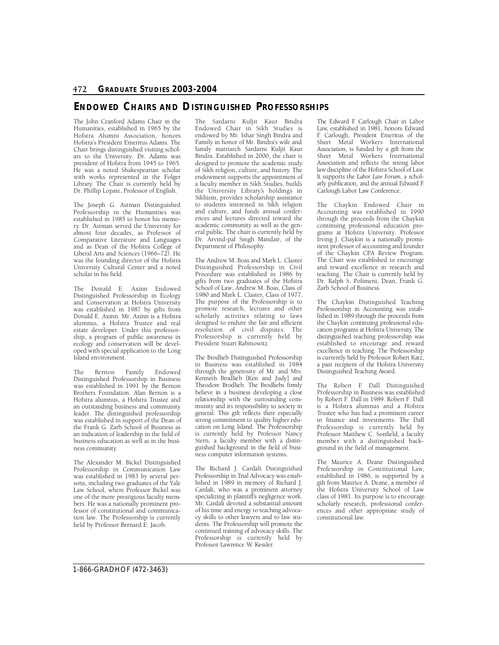## <span id="page-0-0"></span>**ENDOWED CHAIRS AND DISTINGUISHED PROFESSORSHIPS**

The John Cranford Adams Chair in the Humanities, established in 1965 by the Hofstra Alumni Association, honors Hofstra's President Emeritus Adams. The Chair brings distinguished visiting scholars to the University. Dr. Adams was president of Hofstra from 1945 to 1965. He was a noted Shakespearian scholar with works represented in the Folger Library. The Chair is currently held by Dr. Phillip Lopate, Professor of English.

The Joseph G. Astman Distinguished Professorship in the Humanities was established in 1985 to honor his memory. Dr. Astman served the University for almost four decades, as Professor of Comparative Literature and Languages and as Dean of the Hofstra College of Liberal Arts and Sciences (1966–72). He was the founding director of the Hofstra University Cultural Center and a noted scholar in his field.

The Donald E. Axinn Endowed Distinguished Professorship in Ecology and Conservation at Hofstra University was established in 1987 by gifts from Donald E. Axinn. Mr. Axinn is a Hofstra alumnus, a Hofstra Trustee and real estate developer. Under this professorship, a program of public awareness in ecology and conservation will be developed with special application to the Long Island environment.

The Bernon Family Endowed Distinguished Professorship in Business was established in 1991 by the Bernon Brothers Foundation. Alan Bernon is a Hofstra alumnus, a Hofstra Trustee and an outstanding business and community leader. The distinguished professorship was established in support of the Dean of the Frank G. Zarb School of Business as an indication of leadership in the field of business education as well as in the business community.

The Alexander M. Bickel Distinguished Professorship in Communication Law was established in 1983 by several persons, including two graduates of the Yale Law School, where Professor Bickel was one of the more prestigious faculty members. He was a nationally prominent professor of constitutional and communication law. The Professorship is currently held by Professor Bernard E. Jacob.

The Sardarni Kuljit Kaur Bindra Endowed Chair in Sikh Studies is endowed by Mr. Ishar Singh Bindra and Family in honor of Mr. Bindra's wife and family matriarch Sardarni Kuljit Kaur Bindra. Established in 2000, the chair is designed to promote the academic study of Sikh religion, culture, and history. The endowment supports the appointment of a faculty member in Sikh Studies, builds the University Library's holdings in Sikhism, provides scholarship assistance to students interested in Sikh religion and culture, and funds annual conferences and lectures directed toward the academic community as well as the general public. The chair is currently held by Dr. Arvind-pal Singh Mandair, of the Department of Philosophy.

The Andrew M. Boas and Mark L. Claster Distinguished Professorship in Civil Procedure was established in 1986 by gifts from two graduates of the Hofstra School of Law, Andrew M. Boas, Class of 1980 and Mark L. Claster, Class of 1977. The purpose of the Professorship is to promote research, lectures and other scholarly activities relating to laws designed to endure the fair and efficient resolution of civil disputes. The Professorship is currently held by President Stuart Rabinowitz.

The Brodlieb Distinguished Professorship in Business was established in 1984 through the generosity of Mr. and Mrs. Kenneth Brodlieb [Ken and Judy] and Theodore Brodlieb. The Brodliebs firmly believe in a business developing a close relationship with the surrounding community and its responsibility to society in general. This gift reflects their especially strong commitment to quality higher education on Long Island. The Professorship is currently held by Professor Nancy Stern, a faculty member with a distinguished background in the field of business computer information systems.

The Richard J. Cardali Distinguished Professorship in Trial Advocacy was established in 1989 in memory of Richard J. Cardali, who was a prominent attorney specializing in plaintiff's negligence work. Mr. Cardali devoted a substantial amount of his time and energy to teaching advocacy skills to other lawyers and to law students. The Professorship will promote the continued training of advocacy skills. The Professorship is currently held by Professor Lawrence W. Kessler.

 F. Carlough, President Emeritus of the law discipline of the Hofstra School of Law. The Edward F. Carlough Chair in Labor Law, established in 1981, honors Edward Sheet Metal Workers International Association, is funded by a gift from the Sheet Metal Workers International Association and reflects the strong labor It supports the *Labor Law Forum*, a scholarly publication, and the annual Edward F. Carlough Labor Law Conference.

 The Chaykin Endowed Chair in Accounting was established in 1990 through the proceeds from the Chaykin continuing professional education programs at Hofstra University. Professor Irving J. Chaykin is a nationally prominent professor of accounting and founder of the Chaykin CPA Review Program. The Chair was established to encourage and reward excellence in research and teaching. The Chair is currently held by Dr. Ralph S. Polimeni, Dean, Frank G. Zarb School of Business.

The Chaykin Distinguished Teaching the Chaykin continuing professional edu- cation programs at Hofstra University. The established to encourage and reward excellence in teaching. The Professorship a past recipient of the Hofstra University Distinguished Teaching Award. Professorship in Accounting was established in 1989 through the proceeds from distinguished teaching professorship was is currently held by Professor Robert Katz,

 The Robert F. Dall Distinguished is a Hofstra alumnus and a Hofstra P rofessorship is currently held by Professorship in Business was established by Robert F. Dall in 1989. Robert F. Dall Trustee who has had a prominent career in finance and investments. The Dall Professor Matthew C. Sonfield, a faculty member with a distinguished background in the field of management.

 The Maurice A. Deane Distinguished Professorship in Constitutional Law, established in 1986, is supported by a gift from Maurice A. Deane, a member of the Hofstra University School of Law class of 1981. Its purpose is to encourage scholarly research, professional conferences and other appropriate study of constitutional law.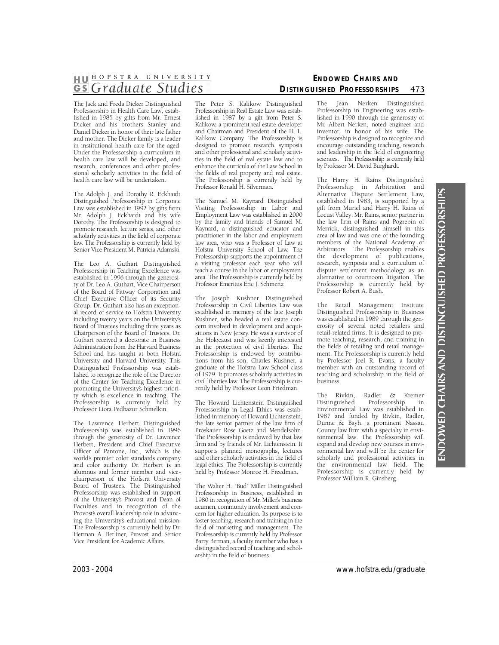# <span id="page-1-0"></span>**1HJ01 HOFSTRA UNIVER <sup>S</sup> ITY**  *~ Graduate Studies*

# **ENDOWED CHAIRS AND DISTINGUISHED PROFESSORSHIPS** 473

The Jack and Freda Dicker Distinguished Professorship in Health Care Law, established in 1985 by gifts from Mr. Ernest Dicker and his brothers Stanley and Daniel Dicker in honor of their late father and mother. The Dicker family is a leader in institutional health care for the aged. Under the Professorship a curriculum in health care law will be developed, and research, conferences and other professional scholarly activities in the field of health care law will be undertaken.

The Adolph J. and Dorothy R. Eckhardt Dorothy. The Professorship is designed to law. The Professorship is currently held by Distinguished Professorship in Corporate Law was established in 1992 by gifts from Mr. Adolph J. Eckhardt and his wife promote research, lecture series, and other scholarly activities in the field of corporate Senior Vice President M. Patricia Adamski.

 The Leo A. Guthart Distinguished Professorship in Teaching Excellence was established in 1996 through the generosi- of the Board of Pittway Corporation and Chief Executive Officer of its Security al record of service to Hofstra University including twenty years on the University's Administration from the Harvard Business School and has taught at both Hofstra University and Harvard University. This of the Center for Teaching Excellence in ty of Dr. Leo A. Guthart, Vice Chairperson Group. Dr. Guthart also has an exception-Board of Trustees including three years as Chairperson of the Board of Trustees. Dr. Guthart received a doctorate in Business Distinguished Professorship was established to recognize the role of the Director promoting the University's highest priority which is excellence in teaching. The Professorship is currently held by Professor Liora Pedhazur Schmelkin.

through the generosity of Dr. Lawrence and color authority. Dr. Herbert is an alumnus and former member and vice-Board of Trustees. The Distinguished of the University's Provost and Dean of ing the University's educational mission. The Professorship is currently held by Dr. Herman A. Berliner, Provost and Senior The Lawrence Herbert Distinguished Professorship was established in 1996 Herbert, President and Chief Executive Officer of Pantone, Inc., which is the world's premier color standards company chairperson of the Hofstra University Professorship was established in support Faculties and in recognition of the Provost's overall leadership role in advanc-Vice President for Academic Affairs.

 lished in 1987 by a gift from Peter S. Kalikow, a prominent real estate developer and Chairman and President of the H. L. designed to promote research, symposia ties in the field of real estate law and to the fields of real property and real estate. The Peter S. Kalikow Distinguished Professorship in Real Estate Law was estab-Kalikow Company. The Professorship is and other professional and scholarly activienhance the curricula of the Law School in The Professorship is currently held by Professor Ronald H. Silverman.

 The Samuel M. Kaynard Distinguished by the family and friends of Samuel M. law area, who was a Professor of Law at Professorship supports the appointment of a visiting professor each year who will teach a course in the labor or employment Visiting Professorship in Labor and Employment Law was established in 2000 Kaynard, a distinguished educator and practitioner in the labor and employment Hofstra University School of Law. The area. The Professorship is currently held by Professor Emeritus Eric J. Schmertz

 established in memory of the late Joseph the Holocaust and was keenly interested Professorship is endowed by contribu- civil liberties law. The Professorship is cur-The Joseph Kushner Distinguished Professorship in Civil Liberties Law was Kushner, who headed a real estate concern involved in development and acquisitions in New Jersey. He was a survivor of in the protection of civil liberties. The tions from his son, Charles Kushner, a graduate of the Hofstra Law School class of 1979. It promotes scholarly activities in rently held by Professor Leon Friedman.

 The Howard Lichtenstein Distinguished lished in memory of Howard Lichtenstein, the late senior partner of the law firm of P roskauer Rose Goetz and Mendelsohn. and other scholarly activities in the field of Professorship in Legal Ethics was estab-The Professorship is endowed by that law firm and by friends of Mr. Lichtenstein. It supports planned monographs, lectures legal ethics. The Professorship is currently held by Professor Monroe H. Freedman.

The Walter H. "Bud" Miller Distinguished Professorship in Business, established in 1980 in recognition of Mr. Miller's business acumen, community involvement and concern for higher education. Its purpose is to field of marketing and management. The distinguished record of teaching and schol- arship in the field of business. foster teaching, research and training in the Professorship is currently held by Professor Barry Berman, a faculty member who has a

Iean and leadership in the field of engineering sciences. The Professorship is currently held The Jean Nerken Distinguished Professorship in Engineering was established in 1990 through the generosity of Mr. Albert Nerken, noted engineer and inventor, in honor of his wife. The Professorship is designed to recognize and encourage outstanding teaching, research by Professor M. David Burghardt.

Professorship in Arbitration and the development of publications, P rofessorship is currently held by The Harry H. Rains Distinguished Alternative Dispute Settlement Law, established in 1983, is supported by a gift from Muriel and Harry H. Rains of Locust Valley. Mr. Rains, senior partner in the law firm of Rains and Pogrebin of Merrick, distinguished himself in this area of law and was one of the founding members of the National Academy of Arbitrators. The Professorship enables research, symposia and a curriculum of dispute settlement methodology as an alternative to courtroom litigation. The Professor Robert A. Bush.

The Retail Management Institute Distinguished Professorship in Business was established in 1989 through the gene rosity of several noted retailers and retail-related firms. It is designed to promote teaching, research, and training in the fields of retailing and retail management. The Professorship is currently held by Professor Joel R. Evans, a faculty member with an outstanding record of teaching and scholarship in the field of business.

The Rivkin,<br>Distinguished the environmental law field. The P rofessorship is currently held by Radler & Kremer<br>Professorship in Professorship Environmental Law was established in 1987 and funded by Rivkin, Radler, Dunne & Bayh, a prominent Nassau County law firm with a specialty in environmental law. The Professorship will expand and develop new courses in environmental law and will be the center for scholarly and professional activities in Professor William R. Ginsberg.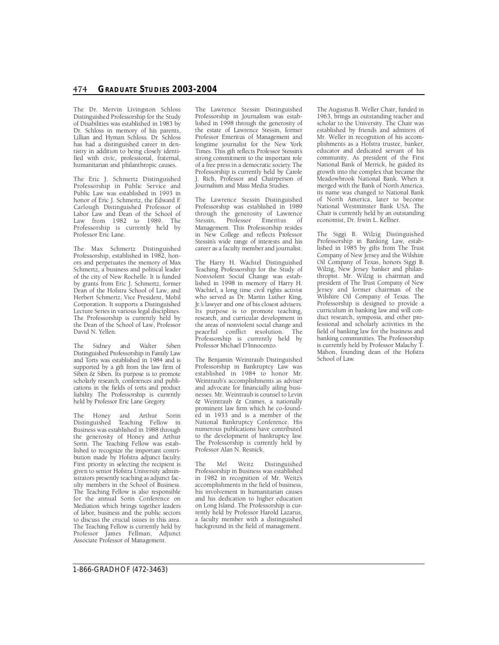The Dr. Mervin Livingston Schloss Distinguished Professorship for the Study of Disabilities was established in 1983 by Dr. Schloss in memory of his parents, Lillian and Hyman Schloss. Dr. Schloss has had a distinguished career in dentistry in addition to being closely identified with civic, professional, fraternal, humanitarian and philanthropic causes.

 The Eric J. Schmertz Distinguished Professorship in Public Service and Professorship is currently held by Public Law was established in 1993 in honor of Eric J. Schmertz, the Edward F. Carlough Distinguished Professor of Labor Law and Dean of the School of Law from 1982 to 1989. The Professor Eric Lane.

The Max Schmertz Distinguished Professorship, established in 1982, honors and perpetuates the memory of Max Schmertz, a business and political leader of the city of New Rochelle. It is funded by grants from Eric J. Schmertz, former Dean of the Hofstra School of Law, and Herbert Schmertz, Vice President, Mobil Corporation. It supports a Distinguished Lecture Series in various legal disciplines. The Professorship is currently held by the Dean of the School of Law, Professor David N. Yellen.

and Torts was established in 1984 and is supported by a gift from the law firm of Siben & Siben. Its purpose is to promote cations in the fields of torts and product held by Professor Eric Lane Gregory. The Sidney and Walter Siben Distinguished Professorship in Family Law scholarly research, conferences and publiliability. The Professorship is currently

 lished to recognize the important contri- First priority in selecting the recipient is ulty members in the School of Business. The Teaching Fellow is currently held by The Honey and Arthur Sorin Distinguished Teaching Fellow in Business was established in 1988 through the generosity of Honey and Arthur Sorin. The Teaching Fellow was estabbution made by Hofstra adjunct faculty. given to senior Hofstra University administrators presently teaching as adjunct fac-The Teaching Fellow is also responsible for the annual Sorin Conference on Mediation which brings together leaders of labor, business and the public sectors to discuss the crucial issues in this area. Professor James Fellman, Adjunct Associate Professor of Management.

 The Lawrence Stessin Distinguished lished in 1998 through the generosity of P rofessor Emeritus of Management and longtime journalist for the New York Times. This gift reflects Professor Stessin's strong commitment to the important role Journalism and Mass Media Studies. Professorship in Journalism was estabthe estate of Lawrence Stessin, former of a free press in a democratic society. The Professorship is currently held by Carole J. Rich, Professor and Chairperson of

through the generosity of Lawrence in New College and reflects Professor Stessin's wide range of interests and his career as a faculty member and journalist. The Lawrence Stessin Distinguished Professorship was established in 1989 Stessin, Professor Emeritus of Management. This Professorship resides

 The Harry H. Wachtel Distinguished Nonviolent Social Change was estab- Wachtel, a long time civil rights activist Its purpose is to promote teaching, Teaching Professorship for the Study of lished in 1998 in memory of Harry H. who served as Dr. Martin Luther King, Ir.'s lawyer and one of his closest advisers. research, and curricular development in the areas of nonviolent social change and peaceful conflict resolution. The Professorship is currently held by Professor Michael D'Innocenzo.

 established in 1984 to honor Mr. The Benjamin Weintraub Distinguished Professorship in Bankruptcy Law was Weintraub's accomplishments as adviser and advocate for financially ailing businesses. Mr. Weintraub is counsel to Levin & Weintraub & Crames, a nationally prominent law firm which he co-founded in 1933 and is a member of the National Bankruptcy Conference. His numerous publications have contributed to the development of bankruptcy law. The Professorship is currently held by Professor Alan N. Resnick.

The Mel Weitz Distinguished Professorship in Business was established in 1982 in recognition of Mr. Weitz's accomplishments in the field of business, his involvement in humanitarian causes and his dedication to higher education on Long Island. The Professorship is currently held by Professor Harold Lazarus, a faculty member with a distinguished background in the field of management.

The Augustus B. Weller Chair, funded in 1963, brings an outstanding teacher and scholar to the University. The Chair was established by friends and admirers of Mr. Weller in recognition of his accomplishments as a Hofstra trustee, banker, educator and dedicated servant of his community. As president of the First National Bank of Merrick, he guided its growth into the complex that became the Meadowbrook National Bank. When it merged with the Bank of North America, its name was changed to National Bank of North America, later to become National Westminster Bank USA. The Chair is currently held by an outstanding economist, Dr. Irwin L. Kellner.

 Jersey and former chairman of the The Siggi B. Wilzig Distinguished Professorship in Banking Law, established in 1985 by gifts from The Trust Company of New Jersey and the Wilshire Oil Company of Texas, honors Siggi B. Wilzig, New Jersey banker and philanthropist. Mr. Wilzig is chairman and president of The Trust Company of New Wilshire Oil Company of Texas. The Professorship is designed to provide a curriculum in banking law and will conduct research, symposia, and other professional and scholarly activities in the field of banking law for the business and banking communities. The Professorship is currently held by Professor Malachy T. Mahon, founding dean of the Hofstra School of Law.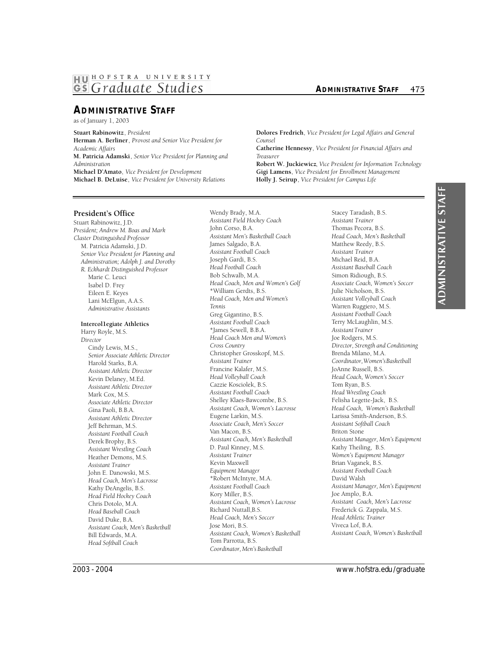# <span id="page-3-0"></span>**ADMINISTRATIVE STAFF**

as of January 1, 2003

**Stuart Rabinowitz**, *President*  **Herman A. Berliner**, *Provost and Senior Vice President for Academic Affairs*  **M. Patricia Adamski**, *Senior Vice President for Planning and Administration*  **Michael D'Amato**, *Vice President for Development*  **Michael B. DeLuise**, *Vice President for University Relations* 

**Dolores Fredrich**, *Vice President for Legal Affairs and General Counsel* 

**Catherine Hennessy**, *Vice President for Financial Affairs and Treasurer* 

**Robert W. Juckiewicz**, *Vice President for Information Technology*  **Gigi Lamens**, *Vice President for Enrollment Management*  **Holly J. Seirup**, *Vice President for Campus Life* 

## **President's Office**

Stuart Rabinowitz, J.D. *President; Andrew M. Boas and Mark Claster Distinguished Professor*  M. Patricia Adamski, J.D. *Senior Vice President for Planning and Administration; Adolph J. and Dorothy R. Eckhardt Distinguished Professor*  Marie C. Leuci Isabel D. Frey Eileen E. Keyes Lani McElgun, A.A.S. *Administrative Assistants* 

#### **Intercol1egiate Athletics**

Harry Royle, M.S. *Director*  Cindy Lewis, M.S., *Senior Associate Athletic Director*  Harold Starks, B.A. *Assistant Athletic Director*  Kevin Delaney, M.Ed. *Assistant Athletic Director*  Mark Cox, M.S. *Associate Athletic Director*  Gina Paoli, B.B.A. *Assistant Athletic Director*  Jeff Behrman, M.S. *Assistant Football Coach*  Derek Brophy, B.S. *Assistant Wrestling Coach*  Heather Demons, M.S. *Assistant Trainer*  John E. Danowski, M.S. *Head Coach, Men's Lacrosse*  Kathy DeAngelis, B.S. *Head Field Hockey Coach*  Chris Dotolo, M.A. *Head Baseball Coach*  David Duke, B.A. *Assistant Coach, Men's Basketball*  Bill Edwards, M.A. *Head Softball Coach* 

Wendy Brady, M.A. *Assistant Field Hockey Coach*  John Corso, B.A. *Assistant Men's Basketball Coach*  James Salgado, B.A. *Assistant Football Coach*  Joseph Gardi, B.S. *Head Football Coach*  Bob Schwalb, M.A. *Head Coach, Men and Women's Golf*  \*William Gerdts, B.S. *Head Coach, Men and Women's Tennis*  Greg Gigantino, B.S. *Assistant Football Coach*  \*James Sewell, B.B.A. *Head Coach Men and Women's Cross Country*  Christopher Grosskopf, M.S. *Assistant Trainer*  Francine Kalafer, M.S. *Head Volleyball Coach*  Cazzie Kosciolek, B.S. *Assistant Football Coach*  Shelley Klaes-Bawcombe, B.S. *Assistant Coach, Women's Lacrosse*  Eugene Larkin, M.S. *Associate Coach, Men's Soccer*  Van Macon, B.S. *Assistant Coach, Men's Basketball*  D. Paul Kinney, M.S. *Assistant Trainer*  Kevin Maxwell *Equipment Manager*  \*Robert McIntyre, M.A. *Assistant Football Coach*  Kory Miller, B.S. *Assistant Coach, Women's Lacrosse*  Richard Nuttall,B.S. *Head Coach, Men's Soccer*  Jose Mori, B.S. *Assistant Coach, Women's Basketball*  Tom Parrotta, B.S. *Coordinator, Men's Basketball* 

Stacey Taradash, B.S. *Assistant Trainer*  Thomas Pecora, B.S. *Head Coach, Men's Basketball*  Matthew Reedy, B.S. *Assistant Trainer*  Michael Reid, B.A. *Assistant Baseball Coach*  Simon Ridiough, B.S. *Associate Coach, Women's Soccer*  Julie Nicholson, B.S. *Assistant Volleyball Coach*  Warren Ruggiero, M.S. *Assistant Football Coach*  Terry McLaughlin, M.S. *Assistant Trainer*  Joe Rodgers, M.S. *Director, Strength and Conditioning*  Brenda Milano, M.A. *Coordinator, Women's Basketball*  JoAnne Russell, B.S. *Head Coach, Women's Soccer*  Tom Ryan, B.S. *Head Wrestling Coach*  Felisha Legette-Jack, B.S. *Head Coach, Women's Basketball*  Larissa Smith-Anderson, B.S. *Assistant Softball Coach*  Briton Stone *Assistant Manager, Men's Equipment*  Kathy Theiling, B.S. *Women's Equipment Manager*  Brian Vaganek, B.S. *Assistant Football Coach*  David Walsh *Assistant Manager, Men's Equipment*  Joe Amplo, B.A. *Assistant Coach, Men's Lacrosse*  Frederick G. Zappala, M.S. *Head Athletic Trainer*  Viveca Lof, B.A. *Assistant Coach, Women's Basketball*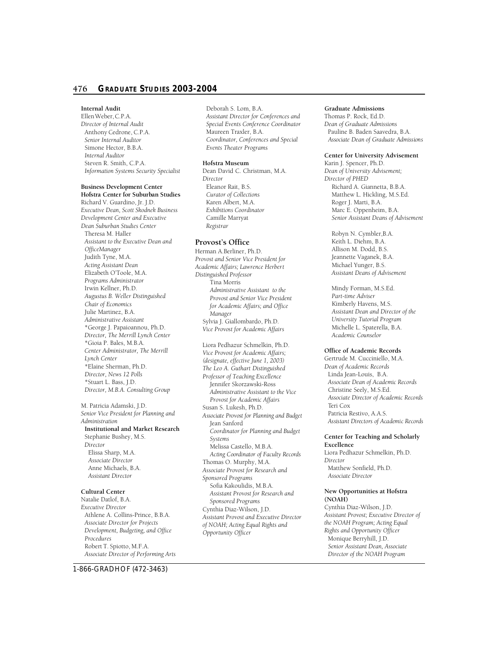#### **476 GR A D UAT E ST U D I E S 2 0 0 3 - 2 0 0 4**

#### **Internal Audit**

Ellen Weber, C.P.A. *Director of Internal Audit*  Anthony Cedrone, C.P.A. *Senior Internal Auditor*  Simone Hector, B.B.A. *Internal Auditor*  Steven R. Smith, C.P.A. *Information Systems Security Specialist* 

#### **Business Development Center Hofstra Center for Suburban Studies**

Richard V. Guardino, Jr. J.D. *Executive Dean, Scott Skodnek Business Development Center and Executive Dean Suburban Studies Center*  Theresa M. Haller *Assistant to the Executive Dean and OfficeManager*  Judith Tyne, M.A. *Acting Assistant Dean*  Elizabeth O'Toole, M.A. *Programs Administrator*  Irwin Kellner, Ph.D. *Augustus B. Weller Distinguished Chair of Economics*  Julie Martinez, B.A. *Administrative Assistant*  \*George J. Papaioannou, Ph.D. *Director, The Merrill Lynch Center*  \*Gioia P. Bales, M.B.A. *Center Administrator, The Merrill Lynch Center*  \*Elaine Sherman, Ph.D. *Director, News 12 Polls*  \*Stuart L. Bass, J.D. *Director, M.B.A. Consulting Group* 

M. Patricia Adamski, J.D. *Senior Vice President for Planning and Administration*  **Institutional and Market Research**  Stephanie Bushey, M.S. *Director*  Elissa Sharp, M.A. *Associate Director*  Anne Michaels, B.A. *Assistant Director* 

#### **Cultural Center**

Natalie Datlof, B.A. *Executive Director*  Athlene A. Collins-Prince, B.B.A. *Associate Director for Projects Development, Budgeting, and Office Procedures*  Robert T. Spiotto, M.F.A. *Associate Director of Performing Arts*  Deborah S. Lom, B.A. *Assistant Director for Conferences and Special Events Conference Coordinator*  Maureen Traxler, B.A. *Coordinator, Conferences and Special Events Theater Programs* 

#### **Hofstra Museum**

Dean David C. Christman, M.A. *Director*  Eleanor Rait, B.S. *Curator of Collections*  Karen Albert, M.A. *Exhibitions Coordinator*  Camille Marryat *Registrar* 

#### **Provost's Office**

Herman A.Berliner, Ph.D. *Provost and Senior Vice President for Academic Affairs; Lawrence Herbert Distinguished Professor*  Tina Morris *Administrative Assistant to the Provost and Senior Vice President for Academic Affairs; and Office Manager*  Sylvia J. Giallombardo, Ph.D. *Vice Provost for Academic Affairs* 

Liora Pedhazur Schmelkin, Ph.D. *Vice Provost for Academic Affairs; (designate, effective June 1, 2003) The Leo A. Guthart Distinguished Professor of Teaching Excellence*  Jennifer Skorzawski-Ross *Administrative Assistant to the Vice Provost for Academic Affairs*  Susan S. Lukesh, Ph.D. *Associate Provost for Planning and Budget*  Jean Sanford *Coordinator for Planning and Budget Systems*  Melissa Castello, M.B.A. **Acting Coordinator of Faculty Records** Thomas O. Murphy, M.A. *Associate Provost for Research and Sponsored Programs*  Sofia Kakoulidis, M.B.A. *Assistant Provost for Research and Sponsored Programs*  Cynthia Diaz-Wilson, J.D. *Assistant Provost and Executive Director of NOAH; Acting Equal Rights and Opportunity Officer* 

#### **Graduate Admissions**

Thomas P. Rock, Ed.D. *Dean of Graduate Admissions*  Pauline B. Baden Saavedra, B.A. *Associate Dean of Graduate Admissions* 

#### **Center for University Advisement**

Karin J. Spencer, Ph.D. *Dean of University Advisement; Director of PHED*  Richard A. Giannetta, B.B.A. Matthew L. Hickling, M.S.Ed. Roger J. Marti, B.A. Marc E. Oppenheim, B.A. *Senior Assistant Deans of Advisement* 

Robyn N. Cymbler,B.A. Keith L. Diehm, B.A. Allison M. Dodd, B.S. Jeannette Vaganek, B.A. Michael Yunger, B.S. *Assistant Deans of Advisement* 

Mindy Forman, M.S.Ed. *Part-time Adviser*  Kimberly Havens, M.S. *Assistant Dean and Director of the University Tutorial Program*  Michelle L. Spaterella, B.A. *Academic Counselor* 

#### **Office of Academic Records**

 *Associate Director of Academic Record s*  Gertrude M. Cucciniello, M.A. *Dean of Academic Records*  Linda Jean-Louis, B.A. *Associate Dean of Academic Records*  Christine Seely, M.S.Ed. Teri Cox Patricia Restivo, A.A.S. **Assistant Directors of Academic Records** 

#### **Center for Teaching and Scholarly Excellence**

Liora Pedhazur Schmelkin, Ph.D. *Director*  Matthew Sonfield, Ph.D. *Associate Director* 

#### **New Opportunities at Hofstra (NOAH)**

Cynthia Diaz-Wilson, J.D. *Assistant Provost; Executive Director of the NOAH Program; Acting Equal Rights and Opportunity Officer*  Monique Berryhill, J.D. *Senior Assistant Dean, Associate Director of the NOAH Program*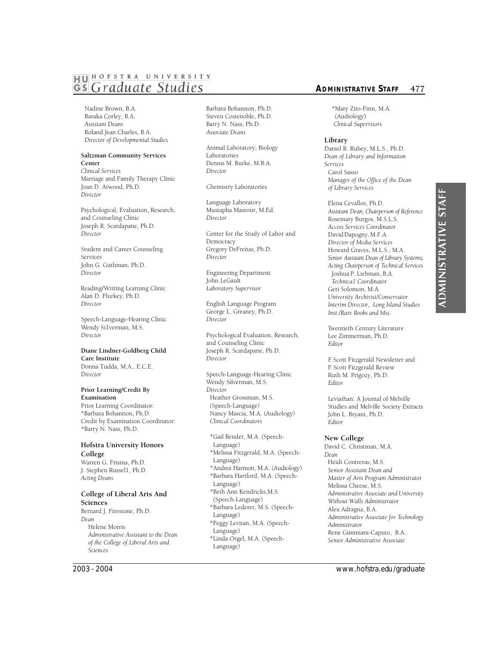# **IBIU] HOFSTRA UNIVERSITY**  *GS Graduate Studies* **<b>AD AD AD AD AD AD AD IN STAFF**  $\frac{477}{47}$

Nadine Brown, B.A. Baraka Corley, B.A. *Assistant Deans*  Roland Jean Charles, B.A. *Director of Developmental Studies* 

#### **Saltzman Community Services Center**

*Clinical Services*  Marriage and Family Therapy Clinic Joan D. Atwood, Ph.D. *Director* 

Psychological, Evaluation, Research, and Counseling Clinic Joseph R. Scardapane, Ph.D. *Director* 

Student and Career Counseling Services John G. Guthman, Ph.D. *Director* 

Reading/Writing Learning Clinic Alan D. Flurkey, Ph.D. *Director* 

Speech-Language-Hearing Clinic Wendy Si1verman, M.S. *Director* 

#### **Diane Lindner-Goldberg Child Care Institute**

Donna Tudda, M.A., E.C.E. *Director* 

#### **Prior Learning/Credit By Examination**

Prior Learning Coordinator: \*Barbara Bohannon, Ph.D. Credit by Examination Coordinator: \*Barry N. Nass, Ph.D.

#### **Hofstra University Honors College**

Warren G. Frisina, Ph.D. J. Stephen Russel1, Ph.D. *Acting Deans* 

#### **College of Liberal Arts And Sciences**  Bernard J. Firestone, Ph.D*. Dean*  Helene Morris *Administrative Assistant to the Dean*

*of the College of Liberal Arts and Sciences* 

Barbara Bohannon, Ph.D. Steven Costenoble, Ph.D. Barry N. Nass, Ph.D. *Associate Deans* 

Animal Laboratory; Biology Laboratories Dennis M. Burke, M.B.A. *Director* 

Chemistry Laboratories

Language Laboratory Mustapha Masrour, M.Ed. *Director* 

Center for the Study of Labor and Democracy Gregory DeFreitas, Ph.D. *Director* 

Engineering Department John LeGault *Laboratory Supervisor* 

English Language Program George L. Greaney, Ph.D. *Director* 

Psychological Evaluation, Research, and Counseling Clinic Joseph R. Scardapane, Ph.D. *Director* 

Speech-Language-Hearing Clinic Wendy Silverman, M.S. *Director*  Heather Grossman, M.S. (Speech-Language) Nancy Mascia, M.A. (Audiology) *Clinical Coordinators* 

\*Gail Bender, M.A. (Speech-Language) \*Melissa Fitzgerald, M.A. (Speech-Language) \*Andrea Harmon, M.A. (Audiology) \*Barbara Hartford, M.A. (Speech-Language) \*Beth Ann Kendricks,M.S. (Speech-Language) \*Barbara Lederer, M.S. (Speech-Language) \*Peggy Levitan, M.A. (Speech-Language) \*Linda Orgel, M.A. (Speech-Language)

\*Mary Zito-Finn, M.A. (Audiology) *Clinical Supervisors* 

#### **Library**

Daniel R. Rubey, M.L.S., Ph.D. *Dean of Library and Information Services*  Carol Sasso *Manager of the Office of the Dean of Library Services* 

Elena Cevallos, Ph.D. *Assistant Dean; Chairperson of Reference* Rosemary Burgos, M.S.L.S. *Access Services Coordinator*  David Dapogny, M.F.A. *Director of Media Services*  Howard Graves, M.L.S.; M.A. *Senior Assistant Dean of Library Systems; Acting Chairperson of Technical Services* Joshua P. Liebman, B.A. *Technica1 Coordinator*  Geri Solomon, M.A. *University Archivist/Conservator Interim Director, Long Island Studies Inst./Rare Books and Mss.* 

Twentieth Century Literature Lee Zimmerman, Ph.D. *Editor* 

F. Scott Fitzgerald Newsletter and F. Scott Fitzgerald Review Ruth M. Prigozy, Ph.D. *Editor* 

Leviathan: A Journal of Melville Studies and Melville Society Extracts John L. Bryant, Ph.D. *Editor* 

#### **New College**

David C. Christman, M.A. *Dean*  Heidi Contreras, M.S. *Senior Assistant Dean and Master of Arts Program Administrator*  Melissa Cheese, M.S. *Administrative Associate and University Without Walls Administrator*  Alex Adragna, B.A. *Administrative Associate for Technology Administrator*  Rene Giminiani-Caputo, B.A. *Senior Administrative Associate*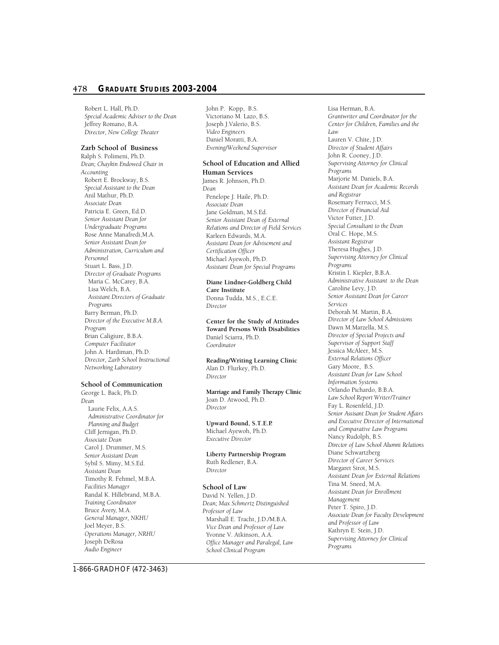#### **478 GRADUATE STUDIES 2003-2004**

Robert L. Hall, Ph.D. *Special Academic Adviser to the Dean*  Jeffrey Romano, B.A. *Director, New College Theater* 

#### **Zarb School of Business**

Ralph S. Polimeni, Ph.D. *Dean; Chaykin Endowed Chair in Accounting*  Robert E. Brockway, B.S. *Special Assistant to the Dean*  Anil Mathur, Ph.D. *Associate Dean*  Patricia E. Green, Ed.D. *Senior Assistant Dean for Undergraduate Programs*  Rose Anne Manafredi,M.A. *Senior Assistant Dean for Administration, Curriculum and Personnel*  Stuart L. Bass, J.D. *Director of Graduate Programs*  Maria C. McCarey, B.A. Lisa Welch, B.A. *Assistant Directors of Graduate Programs*  Barry Berman, Ph.D. *Director of the Executive M.B.A. Program*  Brian Caligiure, B.B.A. *Computer Facilitator*  John A. Hardiman, Ph.D. *Director, Zarb School Instructional Networking Laboratory* 

## **School of Communication**

George L. Back, Ph.D. *Dean*  Laurie Felix, A.A.S. *Administrative Coordinator for Planning and Budget*  Cliff Jernigan, Ph.D. *Associate Dean*  Carol J. Drummer, M.S. *Senior Assistant Dean*  Sybil S. Mimy, M.S.Ed. *Assistant Dean*  Timothy R. Fehmel, M.B.A. *Facilities Manager*  Randal K. Hillebrand, M.B.A. *Training Coordinator*  Bruce Avery, M.A. *General Manager, NKHU*  Joel Meyer, B.S. *Operations Manager, NRHU*  Joseph DeRosa *Audio Engineer* 

John P. Kopp, B.S. Victoriano M. Lazo, B.S. Joseph J.Valerio, B.S. *Video Engineers*  Daniel Moratti, B.A. *Evening/Weekend Supervisor* 

#### **School of Education and Allied Human Services**

James R. Johnson, Ph.D. *Dean*  Penelope J. Haile, Ph.D. *Associate Dean*  Jane Goldman, M.S.Ed. *Senior Assistant Dean of External Relations and Director of Field Services* Karleen Edwards, M.A. *Assistant Dean for Advisement and Certification Officer*  Michael Ayewoh, Ph.D. *Assistant Dean for Special Programs* 

**Diane Lindner-Goldberg Child Care Institute**  Donna Tudda, M.S., E.C.E. *Director* 

**Center for the Study of Attitudes Toward Persons With Disabilities**  Daniel Sciarra, Ph.D. *Coordinator* 

**Reading/Writing Learning Clinic**  Alan D. Flurkey, Ph.D. *Director* 

**Marriage and Family Therapy Clinic** Joan D. Atwood, Ph.D. *Director* 

**Upward Bound, S.T.E.P.**  Michael Ayewoh, Ph.D. *Executive Director* 

**Liberty Partnership Program**  Ruth Redlener, B.A. *Director* 

#### **School of Law**

David N. Yellen, J.D. *Dean; Max Schmertz Distinguished Professor of Law*  Marshall E. Tracht, J.D./M.B.A. *Vice Dean and Professor of Law*  Yvonne V. Atkinson, A.A. *Office Manager and Paralegal, Law School Clinical Program* 

Senior Assisant Dean for Student Affairs Lisa Herman, B.A. *Grantwriter and Coordinator for the Center for Children, Families and the Law*  Lauren V. Chite, J.D. *Director of Student Affairs*  John R. Cooney, J.D. *Supervising Attorney for Clinical Programs*  Marjorie M. Daniels, B.A. *Assistant Dean for Academic Records and Registrar*  Rosemary Ferrucci, M.S. *Director of Financial Aid*  Victor Futter, J.D. *Special Consultant to the Dean*  Oral C. Hope, M.S. *Assistant Registrar*  Theresa Hughes, J.D. *Supervising Attorney for Clinical Programs*  Kristin I. Kiepler, B.B.A. *Administrative Assistant to the Dean*  Caroline Levy, J.D. *Senior Assistant Dean for Career Services*  Deborah M. Martin, B.A. *Director of Law School Admissions*  Dawn M.Marzella, M.S. *Director of Special Projects and Supervisor of Support Staff*  Jessica McAleer, M.S. *External Relations Officer*  Gary Moore, B.S. *Assistant Dean for Law School Information Systems*  Orlando Pichardo, B.B.A. *Law School Report Writer/Trainer*  Fay L. Rosenfeld, J.D. *and Executive Director of International and Comparative Law Programs*  Nancy Rudolph, B.S. *D i rector of Law School Alumni Relations*  Diane Schwartzberg *Director of Career Services*  Margaret Sirot, M.S. *Assistant Dean for External Relations*  Tina M. Sneed, M.A. *Assistant Dean for Enrollment Management*  Peter T. Spiro, J.D. *Associate Dean for Faculty Development and Professor of Law*  Kathryn E. Stein, J.D. *Supervising Attorney for Clinical Programs*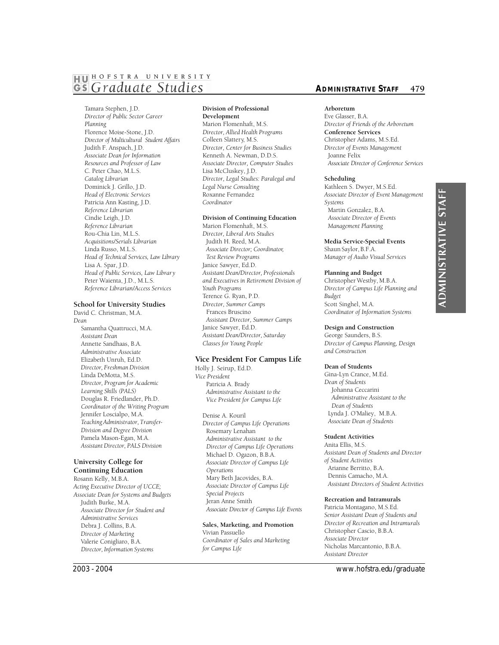# **IBIU] HOFSTRA UNIVERSITY**  *GS Graduate Studies* **<b>AD AD AD AD AD AD AD IN STAFF**  $\frac{479}{49}$

Tamara Stephen, J.D. *Director of Public Sector Career Planning*  Florence Moise-Stone, J.D. Director of Multicultural Student Affairs Judith F. Anspach, J.D. *Associate Dean for Information Resources and Professor of Law*  C. Peter Chao, M.L.S. *Catalog Librarian*  Dominick J. Grillo, J.D. *Head of Electronic Services*  Patricia Ann Kasting, J.D. *Reference Librarian*  Cindie Leigh, J.D. *Reference Librarian*  Rou-Chia Lin, M.L.S. *Acquisitions/Serials Librarian*  Linda Russo, M.L.S. *Head of Technical Services, Law Library*  Lisa A. Spar, J.D. *Head of Public Services, Law Library*  Peter Waienta, J.D., M.L.S. *Reference Librarian/Access Services* 

#### **School for University Studies**

David C. Christman, M.A. *Dean*  Samantha Quattrucci, M.A. *Assistant Dean*  Annette Sandhaas, B.A. *Administrative Associate*  Elizabeth Unruh, Ed.D. *Director, Freshman Division*  Linda DeMotta, M.S. *Director, Program for Academic Learning Skills (PALS)*  Douglas R. Friedlander, Ph.D. *Coordinator of the Writing Program*  Jennifer Loscialpo, M.A. *Teaching Administrator, Transfer-Division and Degree Division*  Pamela Mason-Egan, M.A. *Assistant Director, PALS Division* 

## **University College for Continuing Education**

Rosann Kelly, M.B.A. *Acting Executive Director of UCCE; Associate Dean for Systems and Budgets*  Judith Burke, M.A. *Associate Director for Student and Administrative Services*  Debra J. Collins, B.A. *Director of Marketing*  Valerie Conigliaro, B.A. *Director, Information Systems* 

#### **Division of Professional Development**

Marion Flomenhaft, M.S. *Director, Allied Health Programs*  Colleen Slattery, M.S. *Director, Center for Business Studies*  Kenneth A. Newman, D.D.S. *Associate Director, Computer Studies*  Lisa McCluskey, J.D. *Director, Legal Studies: Paralegal and Legal Nurse Consulting*  Roxanne Fernandez *Coordinator* 

#### **Division of Continuing Education**

Marion Flomenhaft, M.S. *Director, Liberal Arts Studies*  Judith H. Reed, M.A. *Associate Director; Coordinator, Test Review Programs*  Janice Sawyer, Ed.D. *Assistant Dean/Director, Professionals and Executives in Retirement Division of Youth Programs*  Terence G. Ryan, P.D. *Director, Summer Camps*  Frances Bruscino *Assistant Director, Summer Camps*  Janice Sawyer, Ed.D. *Assistant Dean/Director, Saturday Classes for Young People* 

#### **Vice President For Campus Life**

Holly J. Seirup, Ed.D. *Vice President*  Patricia A. Brady *Administrative Assistant to the Vice President for Campus Life* 

Denise A. Kouril *Director of Campus Life Operations*  Rosemary Lenahan *Administrative Assistant to the Director of Campus Life Operations*  Michael D. Ogazon, B.B.A. *Associate Director of Campus Life Operations*  Mary Beth Jacovides, B.A. *Associate Director of Campus Life Special Projects*  Jeran Anne Smith *Associate Director of Campus Life Events* 

**Sales, Marketing, and Promotion**  Vivian Passuello *Coordinator of Sales and Marketing for Campus Life* 

#### **Arboretum**

Eve Glasser, B.A. *Director of Friends of the Arboretum*  **Conference Services**  Christopher Adams, M.S.Ed. *Director of Events Management*  Joanne Felix **Associate Director of Conference Services** 

#### **Scheduling**

Kathleen S. Dwyer, M.S.Ed. *Associate Director of Event Management Systems*  Martin Gonzalez, B.A. *Associate Director of Events Management Planning* 

#### **Media Service-Special Events**

Shaun Saylor, B.F.A. *Manager of Audio Visual Services* 

#### **Planning and Budget**

Christopher Westby, M.B.A. *Director of Campus Life Planning and Budget*  Scott Singhel, M.A. *Coordinator of Information Systems* 

#### **Design and Construction**

George Saunders, B.S. *Director of Campus Planning, Design and Construction* 

#### **Dean of Students**

Gina-Lyn Crance, M.Ed. *Dean of Students*  Johanna Ceccarini *Administrative Assistant to the Dean of Students*  Lynda J. O'Maliey, M.B.A. *Associate Dean of Students* 

#### **Student Activities**

Anita Ellis, M.S. *Assistant Dean of Students and Director of Student Activities*  Arianne Berritto, B.A. Dennis Camacho, M.A. *Assistant Directors of Student Activities* 

#### **Recreation and Intramurals**

Patricia Montagano, M.S.Ed. *Senior Assistant Dean of Students and Director of Recreation and Intramurals*  Christopher Cascio, B.B.A. *Associate Director*  Nicholas Marcantonio, B.B.A. *Assistant Director*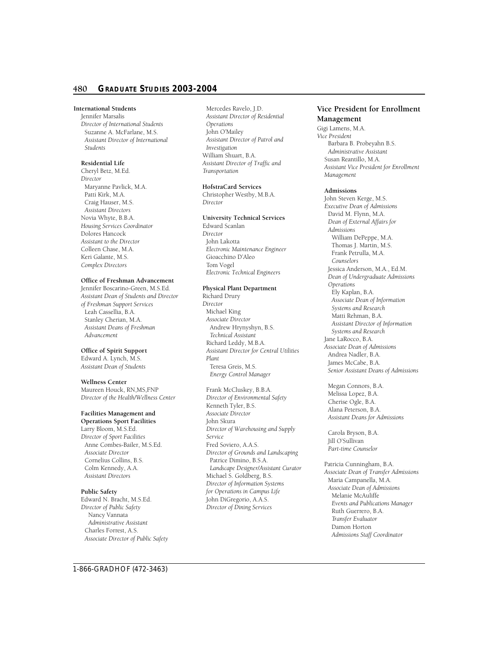#### **480 GR A D UAT E ST U D I E S 2 0 0 3 - 2 0 0 4**

#### **International Students**

Jennifer Marsalis *Director of International Students*  Suzanne A. McFarlane, M.S. *Assistant Director of International Students* 

#### **Residential Life**

Cheryl Betz, M.Ed. *Director*  Maryanne Pavlick, M.A. Patti Kirk, M.A. Craig Hauser, M.S. *Assistant Directors*  Novia Whyte, B.B.A. *Housing Services Coordinator*  Dolores Hancock *Assistant to the Director*  Colleen Chase, M.A. Keri Galante, M.S. *Complex Directors* 

#### **Office of Freshman Advancement**

Jennifer Boscarino-Green, M.S.Ed. *Assistant Dean of Students and Director of Freshman Support Services*  Leah Cassellia, B.A. Stanley Cherian, M.A. *Assistant Deans of Freshman Advancement* 

#### **Office of Spirit Support**

Edward A. Lynch, M.S. *Assistant Dean of Students* 

**Wellness Center**  Maureen Houck, RN,MS,FNP *Director of the Health/Wellness Center* 

### **Facilities Management and**

**Operations Sport Facilities**  Larry Bloom, M.S.Ed. *Director of Sport Facilities*  Anne Combes-Bailer, M.S.Ed. *Associate Director*  Cornelius Collins, B.S. Colm Kennedy, A.A. *Assistant Directors* 

#### **Public Safety**

Edward N. Bracht, M.S.Ed. *Director of Public Safety*  Nancy Vannata *Administrative Assistant*  Charles Forrest, A.S. *Associate Director of Public Safety* 

Mercedes Ravelo, J.D. *Assistant Director of Residential Operations*  John O'Mailey *Assistant Director of Patrol and Investigation*  William Shuart, B.A. *Assistant Director of Traffic and Transportation* 

#### **HofstraCard Services**

Christopher Westby, M.B.A. *Director* 

#### **University Technical Services**

Edward Scanlan *Director*  John Lakotta *Electronic Maintenance Engineer*  Gioacchino D'Aleo Tom Vogel *Electronic Technical Engineers* 

#### **Physical Plant Department**

Richard Drury *Director*  Michael King *Associate Director*  Andrew Hrynyshyn, B.S. *Technical Assistant*  Richard Leddy, M.B.A. *Assistant Director for Central Utilities Plant*  Teresa Greis, M.S. *Energy Control Manager* 

Frank McCluskey, B.B.A. *Director of Environmental Safety*  Kenneth Tyler, B.S. *Associate Director*  John Skura *Director of Warehousing and Supply Service*  Fred Soviero, A.A.S. *Director of Grounds and Landscaping*  Patrice Dimino, B.S.A. *Landscape Designer/Assistant Curator*  Michael S. Goldberg, B.S. *Director of Information Systems for Operations in Campus Life*  John DiGregorio, A.A.S. *Director of Dining Services* 

#### **Vice President for Enrollment Management**

Gigi Lamens, M.A.

*Vice President*  Barbara B. Probeyahn B.S. *Administrative Assistant*  Susan Reantillo, M.A. *Assistant Vice President for Enrollment Management* 

#### **Admissions**

John Steven Kerge, M.S. *Executive Dean of Admissions*  David M. Flynn, M.A. *Dean of External Affairs for Admissions*  William DePeppe, M.A. Thomas J. Martin, M.S. Frank Petrulla, M.A. *Counselors*  Jessica Anderson, M.A., Ed.M. *Dean of Undergraduate Admissions Operations*  Ely Kaplan, B.A. *Associate Dean of Information Systems and Research*  Matti Rehman, B.A. *Assistant Director of Information Systems and Research*  Jane LaRocco, B.A. *Associate Dean of Admissions*  Andrea Nadler, B.A. James McCabe, B.A. *Senior Assistant Deans of Admissions* 

Megan Connors, B.A. Melissa Lopez, B.A. Cherise Ogle, B.A. Alana Peterson, B.A. *Assistant Deans for Admissions* 

Carola Bryson, B.A. Jill O'Sullivan *Part-time Counselor* 

Patricia Cunningham, B.A. *Associate Dean of Transfer Admissions*  Maria Campanella, M.A. *Associate Dean of Admissions*  Melanie McAuliffe *Events and Publications Manager*  Ruth Guerrero, B.A. *Transfer Evaluator*  Damon Horton *Admissions Staff Coordinator*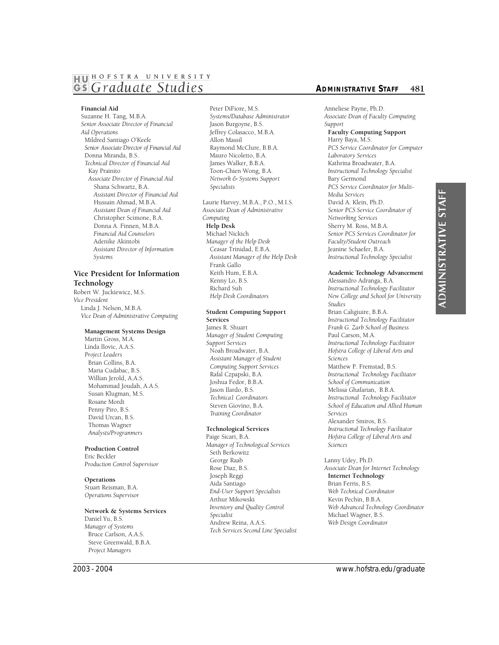# **IBIU] HOFSTRA UNIVERSITY**  *GS Graduate Studies* **<b>AD AD AD AD AD AD AD IN STAFF**  $481$

#### **Financial Aid**

Suzanne H. Tang, M.B.A. *Senior Associate Director of Financial Aid Operations*  Mildred Santiago O'Keefe *Senior Associate Director of Financial Aid*  Donna Miranda, B.S. *Technical Director of Financial Aid*  Kay Prainito *Associate Director of Financial Aid*  Shana Schwartz, B.A. *Assistant Director of Financial Aid*  Hussain Ahmad, M.B.A. *Assistant Dean of Financial Aid*  Christopher Scimone, B.A. Donna A. Finnen, M.B.A. *Financial Aid Counselors*  Adenike Akintobi *Assistant Director of Information Systems* 

#### **Vice President for Information Technology**

Robert W. Juckiewicz, M.S. *Vice President*  Linda J. Nelson, M.B.A. *Vice Dean of Administrative Computing* 

#### **Management Systems Design**

Martin Gross, M.A. Linda Ilovic, A.A.S. *Project Leaders*  Brian Collins, B.A. Maria Cudabac, B.S. Willian Jerold, A.A.S. Mohammad Joudah, A.A.S. Susan Klugman, M.S. Rosane Mordt Penny Piro, B.S. David Urcan, B.S. Thomas Wagner *Analysts/Progranmers* 

#### **Production Control**

Eric Beckler *Production Control Supervisor* 

#### **Operations**

Stuart Reisman, B.A. *Operations Supervisor* 

#### **Network & Systems Services**

Daniel Yu, B.S. *Manager of Systems*  Bruce Carlson, A.A.S. Steve Greenwald, B.B.A. *Project Managers* 

Peter DiFiore, M.S. *Systems/Database Administrator*  Jason Burgoyne, B.S. Jeffrey Colasacco, M.B.A. Allon Massil Raymond McClure, B.B.A. Mauro Nicoletto, B.A. James Walker, B.B.A. Toon-Chien Wong, B.A. *Network & Systems Support Specialists* 

Laurie Harvey, M.B.A., P.O., M.I.S. *Associate Dean of Administrative Computing*  **Help Desk**  Michael Nickich *Manager of the Help Desk*  Ceasar Trinidad, E.B.A. *Assistant Manager of the Help Desk*  Frank Gallo Keith Hum, E.B.A. Kenny Lo, B.S.

Richard Suh *Help Desk Coordinators* 

#### **Student Computing Support Services**

James R. Shuart *Manager of Student Computing Support Services*  Noah Broadwater, B.A. *Assistant Manager of Student Computing Support Services*  Rafal Czpapski, B.A. Joshua Fedor, B.B.A. -<br>Jason Ilardo, B.S. *Technica1 Coordinators*  Steven Giovino, B.A. *Training Coordinator* 

#### **Technological Services**

Paige Sicari, B.A. *Manager of Technological Services*  Seth Berkowitz George Raab Rose Diaz, B.S. Joseph Reggi Aida Santiago *End-User Support Specialists*  Arthur Mikowski *Inventory and Quality Control Specialist*  Andrew Reina, A.A.S. *Tech Services Second Line Specialist* 

Anneliese Payne, Ph.D. *Associate Dean of Faculty Computing Support*  **Faculty Computing Support**  Harry Baya, M.S. *PCS Service Coordinator for Computer* 

*Laboratory Services*  Kathrina Broadwater, B.A. *Instructional Technology Specialist*  Bary Germond *PCS Service Coordinator for Multi-Media Services*  David A. Klein, Ph.D. *Senior PCS Service Coordinator of Networking Services*  Sherry M. Ross, M.B.A. *Senior PCS Services Coordinator for Faculty/Student Outreach*  Jeanine Schaefer, B.A. *Instructional Technology Specialist* 

#### **Academic Technology Advancement**

Alessandro Adranga, B.A. *Instructional Technology Facilitator New College and School for University Studies*  Brian Caligiuire, B.B.A. *Instructional Technology Facilitator Frank G. Zarb School of Business*  Paul Carson, M.A. *Instructional Technology Facilitator Hofstra College of Liberal Arts and Sciences*  Matthew P. Fremstad, B.S. *Instructional Technology Facilitator School of Communication*  Melissa Ghafarian, B.B.A. *Instructional Technology Facilitator School of Education and Allied Human Services*  Alexander Smiros, B.S. *In s t ructional Technology Facilitator Hofstra College of Liberal Arts and*   $Sciences$ 

Lanny Udey, Ph.D. *Associate Dean for Internet Technology*  **Internet Technology**  Brian Ferris, B.S. *Web Technical Coordinator*  Kevin Pechin, B.B.A. *Web Advanced Technology Coordinator*  Michael Wagner, B.S. *Web Design Coordinator*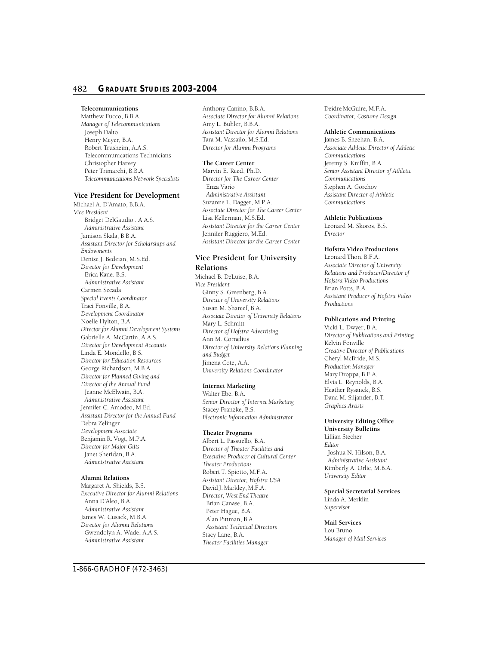#### **482 GRADUATE STUDIES 2003-2004**

#### **Telecommunications**

Matthew Fucco, B.B.A. *Manager of Telecommunications*  Joseph Dalto Henry Meyer, B.A. Robert Trusheim, A.A.S. Telecommunications Technicians Christopher Harvey Peter Trimarchi, B.B.A. *Telecommunications Network Specialists* 

#### **Vice President for Development**

Michael A. D'Amato, B.B.A. *Vice President*  Bridget DelGaudio.. A.A.S. *Administrative Assistant*  Jamison Skala, B.B.A. *Assistant Director for Scholarships and Endowments*  Denise J. Bedeian, M.S.Ed. *Director for Development*  Erica Kane. B.S. *Administrative Assistant*  Carmen Secada *Special Events Coordinator*  Traci Fonville, B.A. *Development Coordinator*  Noelle Hylton, B.A. *D i rector for Alumni Development Systems*  Gabrielle A. McCartin, A.A.S. *Director for Development Accounts*  Linda E. Mondello, B.S. *Director for Education Resources*  George Richardson, M.B.A. *Director for Planned Giving and Director of the Annual Fund*  Jeanne McElwain, B.A. *Administrative Assistant*  Jennifer C. Amodeo, M.Ed. *Assistant Director for the Annual Fund*  Debra Zelinger *Development Associate*  Benjamin R. Vogt, M.P.A. *Director for Major Gifts*  Janet Sheridan, B.A. *Administrative Assistant* 

#### **Alumni Relations**

Margaret A. Shields, B.S. *Executive Director for Alumni Relations*  Anna D'Aleo, B.A. *Administrative Assistant*  James W. Cusack, M.B.A. *Director for Alumni Relations*  Gwendolyn A. Wade, A.A.S. *Administrative Assistant* 

Anthony Canino, B.B.A. *Associate Director for Alumni Relations*  Amy L. Buhler, B.B.A. *Assistant Director for Alumni Relations*  Tara M. Vassailo, M.S.Ed. *Director for Alumni Programs* 

#### **The Career Center**

Marvin E. Reed, Ph.D. *Director for The Career Center*  Enza Vario *Administrative Assistant*  Suzanne L. Dagger, M.P.A. *Associate Director for The Career Center*  Lisa Kellerman, M.S.Ed. *Assistant Director for the Career Center*  Jennifer Ruggiero, M.Ed. *Assistant Director for the Career Center* 

#### **Vice President for University Relations**

Michael B. DeLuise, B.A. *Vice President*  Ginny S. Greenberg, B.A. *Director of University Relations*  Susan M. Shareef, B.A. *Associate Director of University Relations*  Mary L. Schmitt *Director of Hofstra Advertising*  Ann M. Cornelius *D i rector of University Relations Planning and Budget*  Jimena Cote, A.A. *University Relations Coordinator* 

#### **Internet Marketing**

Walter Ebe, B.A. *Senior Director of Internet Marketing*  Stacey Franzke, B.S. *Electronic Information Administrator* 

#### **Theater Programs**

Albert L. Passuello, B.A. *Director of Theater Facilities and Executive Producer of Cultural Center Theater Productions*  Robert T. Spiotto, M.F.A. *Assistant Director, Hofstra USA*  David J. Markley, M.F.A. *Director, West End Theatre*  Brian Canase, B.A. Peter Hague, B.A. Alan Pittman, B.A. *Assistant Technical Directors*  Stacy Lane, B.A. *Theater Facilities Manager* 

Deidre McGuire, M.F.A. *Coordinator, Costume Design* 

#### **Athletic Communications**

James B. Sheehan, B.A. *Associate Athletic Director of Athletic Communications*  Jeremy S. Kniffin, B.A. *Senior Assistant Director of Athletic Communications*  Stephen A. Gorchov *Assistant Director of Athletic Communications* 

#### **Athletic Publications**

Leonard M. Skoros, B.S. *Director* 

#### **Hofstra Video Productions**

Leonard Thon, B.F.A. *Associate Director of University Relations and Producer/Director of Hofstra Video Productions*  Brian Potts, B.A. *Assistant Producer of Hofstra Video Productions* 

#### **Publications and Printing**

Vicki L. Dwyer, B.A. *Director of Publications and Printing*  Kelvin Fonville *Creative Director of Publications*  Cheryl McBride, M.S. *Production Manager*  Mary Droppa, B.F.A. Elvia L. Reynolds, B.A. Heather Rysanek, B.S. Dana M. Siljander, B.T. *Graphics Artists* 

#### **University Editing Office**

**University Bulletins**  Lillian Stecher *Editor*  Joshua N. Hilson, B.A. *Administrative Assistant*  Kimberly A. Orlic, M.B.A. *University Editor* 

#### **Special Secretarial Services**  Linda A. Merklin *Supervisor*

**Mail Services**  Lou Bruno *Manager of Mail Services*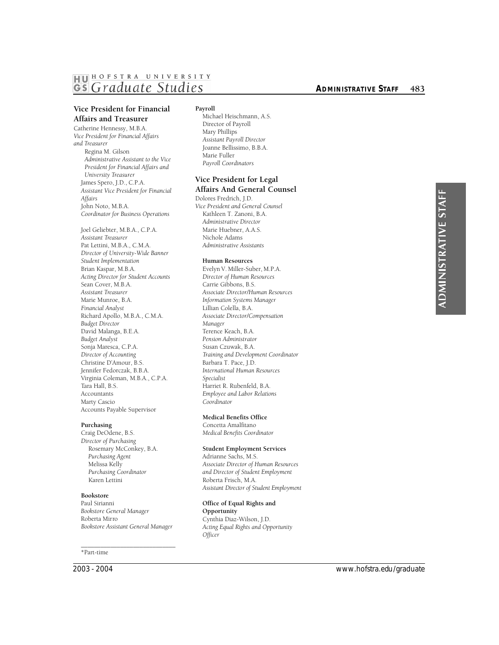# **IBIU] HOFSTRA UNIVERSITY**  *~ Graduate Studies*

## **Vice President for Financial Affairs and Treasurer**

Catherine Hennessy, M.B.A. *Vice President for Financial Affairs and Treasurer*  Regina M. Gilson *Administrative Assistant to the Vice President for Financial Affairs and University Treasurer*  James Spero, J.D., C.P.A. *Assistant Vice President for Financial Affairs*  John Noto, M.B.A. *Coordinator for Business Operations* 

#### Joel Geliebter, M.B.A., C.P.A.

*Assistant Treasurer*  Pat Lettini, M.B.A., C.M.A. *Director of University-Wide Banner Student Implementation*  Brian Kaspar, M.B.A. *Acting Director for Student Accounts*  Sean Cover, M.B.A. *Assistant Treasurer*  Marie Munroe, B.A. *Financial Analyst*  Richard Apollo, M.B.A., C.M.A. *Budget Director*  David Malanga, B.E.A. *Budget Analyst*  Sonja Maresca, C.P.A. *Director of Accounting*  Christine D'Amour, B.S. Jennifer Fedorczak, B.B.A. Virginia Coleman, M.B.A., C.P.A. Tara Hall, B.S. Accountants Marty Cascio Accounts Payable Supervisor

#### **Purchasing**

Craig DeOdene, B.S. *Director of Purchasing*  Rosemary McConkey, B.A. *Purchasing Agent*  Melissa Kelly *Purchasing Coordinator*  Karen Lettini

## **Bookstore**

Paul Sirianni *Bookstore General Manager*  Roberta Mirro *Bookstore Assistant General Manager* 

\_\_\_\_\_\_\_\_\_\_\_\_\_\_\_\_\_\_\_\_\_\_\_\_\_\_\_\_\_

\*Part-time

## **Payroll**

Michael Heischmann, A.S. Director of Payroll Mary Phillips *Assistant Payroll Director*  Joanne Bellissimo, B.B.A. Marie Fuller *Payroll Coordinators* 

#### **Vice President for Legal Affairs And General Counsel**

Dolores Fredrich, J.D. *Vice President and General Counsel*  Kathleen T. Zanoni, B.A. *Administrative Director*  Marie Huebner, A.A.S. Nichole Adams *Administrative Assistants* 

#### **Human Resources**

Evelyn V. Miller-Suber, M.P.A. *Director of Human Resources*  Carrie Gibbons, B.S. *Associate Director/Human Resources Information Systems Manager*  Lillian Colella, B.A. *Associate Director/Compensation Manager*  Terence Keach, B.A. *Pension Administrator*  Susan Czuwak, B.A. *Training and Development Coordinator*  Barbara T. Pace, J.D. *International Human Resources Specialist*  Harriet R. Rubenfeld, B.A. *Employee and Labor Relations Coordinator* 

#### **Medical Benefits Office**

Concetta Amalfitano *Medical Benefits Coordinator* 

#### **Student Employment Services**

Adrianne Sachs, M.S. *Associate Director of Human Resources and Director of Student Employment*  Roberta Frisch, M.A. *Assistant Director of Student Employment* 

#### **Office of Equal Rights and Opportunity**  Cynthia Diaz-Wilson, J.D. *Acting Equal Rights and Opportunity Officer*

**ADMINISTRATIVE STAFF 483**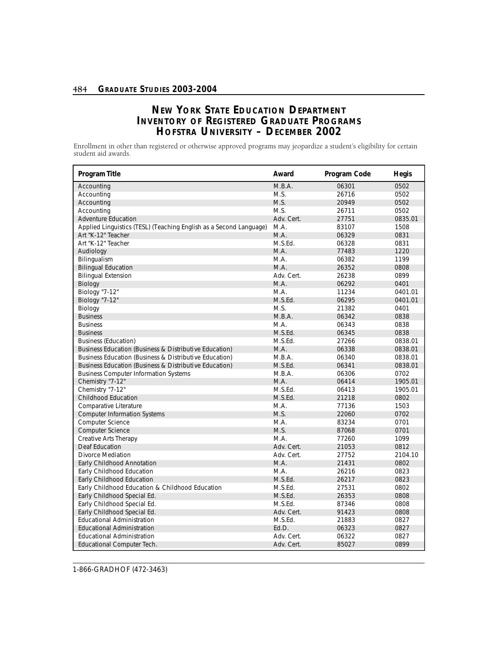# **NEW YORK STATE EDUCATION DEPARTMENT INVENTORY OF REGISTERED GRADUATE PROGRAMS HOFSTRA UNIVERSITY - DECEMBER [2](#page-0-0)002**

<span id="page-12-0"></span>Enrollment in other than registered or otherwise approved programs may jeopardize a student's eligibility for certain student aid awards.

| M.B.A.<br>06301<br>0502<br>Accounting<br>M.S.<br>Accounting<br>26716<br>0502<br>Accounting<br>M.S.<br>20949<br>0502<br>Accounting<br>M.S.<br>26711<br>0502<br><b>Adventure Education</b><br>Adv. Cert.<br>27751<br>0835.01<br>M.A.<br>Applied Linguistics (TESL) (Teaching English as a Second Language)<br>83107<br>1508<br>M.A.<br>Art "K-12" Teacher<br>06329<br>0831<br>Art "K-12" Teacher<br>M.S.Ed.<br>0831<br>06328<br>M.A.<br>1220<br>Audiology<br>77483<br>M.A.<br>1199<br>Bilingualism<br>06382<br><b>Bilingual Education</b><br>M.A.<br>26352<br>0808<br><b>Bilingual Extension</b><br>Adv. Cert.<br>26238<br>0899<br>Biology<br>M.A.<br>06292<br>0401<br>Biology "7-12"<br>M.A.<br>11234<br>0401.01<br>06295<br>Biology "7-12"<br>M.S.Ed.<br>0401.01<br>M.S.<br>21382<br>Biology<br>0401<br>M.B.A.<br>06342<br><b>Business</b><br>0838<br>M.A.<br>06343<br>0838<br><b>Business</b><br>M.S.Ed.<br>06345<br>0838<br><b>Business</b><br><b>Business (Education)</b><br>M.S.Ed.<br>27266<br>0838.01<br>Business Education (Business & Distributive Education)<br>M.A.<br>06338<br>0838.01<br>Business Education (Business & Distributive Education)<br>M.B.A.<br>06340<br>0838.01<br>M.S.Ed.<br>Business Education (Business & Distributive Education)<br>06341<br>0838.01<br><b>Business Computer Information Systems</b><br>M.B.A.<br>06306<br>0702<br>Chemistry "7-12"<br>M.A.<br>1905.01<br>06414<br>Chemistry "7-12"<br>M.S.Ed.<br>06413<br>1905.01<br><b>Childhood Education</b><br>M.S.Ed.<br>21218<br>0802<br>M.A.<br>77136<br>Comparative Literature<br>1503<br>M.S.<br><b>Computer Information Systems</b><br>22060<br>0702<br>M.A.<br>Computer Science<br>83234<br>0701<br>M.S.<br>87068<br>0701<br><b>Computer Science</b><br>M.A.<br>1099<br>Creative Arts Therapy<br>77260<br>Deaf Education<br>Adv. Cert.<br>21053<br>0812<br>Adv. Cert.<br>27752<br>Divorce Mediation<br>2104.10<br>Early Childhood Annotation<br>M.A.<br>21431<br>0802<br>Early Childhood Education<br>M.A.<br>26216<br>0823<br>Early Childhood Education<br>M.S.Ed.<br>26217<br>0823<br>Early Childhood Education & Childhood Education<br>M.S.Ed.<br>27531<br>0802<br>Early Childhood Special Ed.<br>M.S.Ed.<br>26353<br>0808<br>87346<br>0808<br>Early Childhood Special Ed.<br>M.S.Ed.<br>Early Childhood Special Ed.<br>Adv. Cert.<br>91423<br>0808<br><b>Educational Administration</b><br>M.S.Ed.<br>21883<br>0827<br><b>Educational Administration</b><br>Ed.D.<br>06323<br>0827<br>Adv. Cert.<br><b>Educational Administration</b><br>06322<br>0827 | Program Title | Award | Program Code | <b>Hegis</b> |
|-------------------------------------------------------------------------------------------------------------------------------------------------------------------------------------------------------------------------------------------------------------------------------------------------------------------------------------------------------------------------------------------------------------------------------------------------------------------------------------------------------------------------------------------------------------------------------------------------------------------------------------------------------------------------------------------------------------------------------------------------------------------------------------------------------------------------------------------------------------------------------------------------------------------------------------------------------------------------------------------------------------------------------------------------------------------------------------------------------------------------------------------------------------------------------------------------------------------------------------------------------------------------------------------------------------------------------------------------------------------------------------------------------------------------------------------------------------------------------------------------------------------------------------------------------------------------------------------------------------------------------------------------------------------------------------------------------------------------------------------------------------------------------------------------------------------------------------------------------------------------------------------------------------------------------------------------------------------------------------------------------------------------------------------------------------------------------------------------------------------------------------------------------------------------------------------------------------------------------------------------------------------------------------------------------------------------------------------------------------------------------------------------------------------------------------------------------------------------------------------------------------------------------------------------------|---------------|-------|--------------|--------------|
|                                                                                                                                                                                                                                                                                                                                                                                                                                                                                                                                                                                                                                                                                                                                                                                                                                                                                                                                                                                                                                                                                                                                                                                                                                                                                                                                                                                                                                                                                                                                                                                                                                                                                                                                                                                                                                                                                                                                                                                                                                                                                                                                                                                                                                                                                                                                                                                                                                                                                                                                                       |               |       |              |              |
|                                                                                                                                                                                                                                                                                                                                                                                                                                                                                                                                                                                                                                                                                                                                                                                                                                                                                                                                                                                                                                                                                                                                                                                                                                                                                                                                                                                                                                                                                                                                                                                                                                                                                                                                                                                                                                                                                                                                                                                                                                                                                                                                                                                                                                                                                                                                                                                                                                                                                                                                                       |               |       |              |              |
|                                                                                                                                                                                                                                                                                                                                                                                                                                                                                                                                                                                                                                                                                                                                                                                                                                                                                                                                                                                                                                                                                                                                                                                                                                                                                                                                                                                                                                                                                                                                                                                                                                                                                                                                                                                                                                                                                                                                                                                                                                                                                                                                                                                                                                                                                                                                                                                                                                                                                                                                                       |               |       |              |              |
|                                                                                                                                                                                                                                                                                                                                                                                                                                                                                                                                                                                                                                                                                                                                                                                                                                                                                                                                                                                                                                                                                                                                                                                                                                                                                                                                                                                                                                                                                                                                                                                                                                                                                                                                                                                                                                                                                                                                                                                                                                                                                                                                                                                                                                                                                                                                                                                                                                                                                                                                                       |               |       |              |              |
|                                                                                                                                                                                                                                                                                                                                                                                                                                                                                                                                                                                                                                                                                                                                                                                                                                                                                                                                                                                                                                                                                                                                                                                                                                                                                                                                                                                                                                                                                                                                                                                                                                                                                                                                                                                                                                                                                                                                                                                                                                                                                                                                                                                                                                                                                                                                                                                                                                                                                                                                                       |               |       |              |              |
|                                                                                                                                                                                                                                                                                                                                                                                                                                                                                                                                                                                                                                                                                                                                                                                                                                                                                                                                                                                                                                                                                                                                                                                                                                                                                                                                                                                                                                                                                                                                                                                                                                                                                                                                                                                                                                                                                                                                                                                                                                                                                                                                                                                                                                                                                                                                                                                                                                                                                                                                                       |               |       |              |              |
|                                                                                                                                                                                                                                                                                                                                                                                                                                                                                                                                                                                                                                                                                                                                                                                                                                                                                                                                                                                                                                                                                                                                                                                                                                                                                                                                                                                                                                                                                                                                                                                                                                                                                                                                                                                                                                                                                                                                                                                                                                                                                                                                                                                                                                                                                                                                                                                                                                                                                                                                                       |               |       |              |              |
|                                                                                                                                                                                                                                                                                                                                                                                                                                                                                                                                                                                                                                                                                                                                                                                                                                                                                                                                                                                                                                                                                                                                                                                                                                                                                                                                                                                                                                                                                                                                                                                                                                                                                                                                                                                                                                                                                                                                                                                                                                                                                                                                                                                                                                                                                                                                                                                                                                                                                                                                                       |               |       |              |              |
|                                                                                                                                                                                                                                                                                                                                                                                                                                                                                                                                                                                                                                                                                                                                                                                                                                                                                                                                                                                                                                                                                                                                                                                                                                                                                                                                                                                                                                                                                                                                                                                                                                                                                                                                                                                                                                                                                                                                                                                                                                                                                                                                                                                                                                                                                                                                                                                                                                                                                                                                                       |               |       |              |              |
|                                                                                                                                                                                                                                                                                                                                                                                                                                                                                                                                                                                                                                                                                                                                                                                                                                                                                                                                                                                                                                                                                                                                                                                                                                                                                                                                                                                                                                                                                                                                                                                                                                                                                                                                                                                                                                                                                                                                                                                                                                                                                                                                                                                                                                                                                                                                                                                                                                                                                                                                                       |               |       |              |              |
|                                                                                                                                                                                                                                                                                                                                                                                                                                                                                                                                                                                                                                                                                                                                                                                                                                                                                                                                                                                                                                                                                                                                                                                                                                                                                                                                                                                                                                                                                                                                                                                                                                                                                                                                                                                                                                                                                                                                                                                                                                                                                                                                                                                                                                                                                                                                                                                                                                                                                                                                                       |               |       |              |              |
|                                                                                                                                                                                                                                                                                                                                                                                                                                                                                                                                                                                                                                                                                                                                                                                                                                                                                                                                                                                                                                                                                                                                                                                                                                                                                                                                                                                                                                                                                                                                                                                                                                                                                                                                                                                                                                                                                                                                                                                                                                                                                                                                                                                                                                                                                                                                                                                                                                                                                                                                                       |               |       |              |              |
|                                                                                                                                                                                                                                                                                                                                                                                                                                                                                                                                                                                                                                                                                                                                                                                                                                                                                                                                                                                                                                                                                                                                                                                                                                                                                                                                                                                                                                                                                                                                                                                                                                                                                                                                                                                                                                                                                                                                                                                                                                                                                                                                                                                                                                                                                                                                                                                                                                                                                                                                                       |               |       |              |              |
|                                                                                                                                                                                                                                                                                                                                                                                                                                                                                                                                                                                                                                                                                                                                                                                                                                                                                                                                                                                                                                                                                                                                                                                                                                                                                                                                                                                                                                                                                                                                                                                                                                                                                                                                                                                                                                                                                                                                                                                                                                                                                                                                                                                                                                                                                                                                                                                                                                                                                                                                                       |               |       |              |              |
|                                                                                                                                                                                                                                                                                                                                                                                                                                                                                                                                                                                                                                                                                                                                                                                                                                                                                                                                                                                                                                                                                                                                                                                                                                                                                                                                                                                                                                                                                                                                                                                                                                                                                                                                                                                                                                                                                                                                                                                                                                                                                                                                                                                                                                                                                                                                                                                                                                                                                                                                                       |               |       |              |              |
|                                                                                                                                                                                                                                                                                                                                                                                                                                                                                                                                                                                                                                                                                                                                                                                                                                                                                                                                                                                                                                                                                                                                                                                                                                                                                                                                                                                                                                                                                                                                                                                                                                                                                                                                                                                                                                                                                                                                                                                                                                                                                                                                                                                                                                                                                                                                                                                                                                                                                                                                                       |               |       |              |              |
|                                                                                                                                                                                                                                                                                                                                                                                                                                                                                                                                                                                                                                                                                                                                                                                                                                                                                                                                                                                                                                                                                                                                                                                                                                                                                                                                                                                                                                                                                                                                                                                                                                                                                                                                                                                                                                                                                                                                                                                                                                                                                                                                                                                                                                                                                                                                                                                                                                                                                                                                                       |               |       |              |              |
|                                                                                                                                                                                                                                                                                                                                                                                                                                                                                                                                                                                                                                                                                                                                                                                                                                                                                                                                                                                                                                                                                                                                                                                                                                                                                                                                                                                                                                                                                                                                                                                                                                                                                                                                                                                                                                                                                                                                                                                                                                                                                                                                                                                                                                                                                                                                                                                                                                                                                                                                                       |               |       |              |              |
|                                                                                                                                                                                                                                                                                                                                                                                                                                                                                                                                                                                                                                                                                                                                                                                                                                                                                                                                                                                                                                                                                                                                                                                                                                                                                                                                                                                                                                                                                                                                                                                                                                                                                                                                                                                                                                                                                                                                                                                                                                                                                                                                                                                                                                                                                                                                                                                                                                                                                                                                                       |               |       |              |              |
|                                                                                                                                                                                                                                                                                                                                                                                                                                                                                                                                                                                                                                                                                                                                                                                                                                                                                                                                                                                                                                                                                                                                                                                                                                                                                                                                                                                                                                                                                                                                                                                                                                                                                                                                                                                                                                                                                                                                                                                                                                                                                                                                                                                                                                                                                                                                                                                                                                                                                                                                                       |               |       |              |              |
|                                                                                                                                                                                                                                                                                                                                                                                                                                                                                                                                                                                                                                                                                                                                                                                                                                                                                                                                                                                                                                                                                                                                                                                                                                                                                                                                                                                                                                                                                                                                                                                                                                                                                                                                                                                                                                                                                                                                                                                                                                                                                                                                                                                                                                                                                                                                                                                                                                                                                                                                                       |               |       |              |              |
|                                                                                                                                                                                                                                                                                                                                                                                                                                                                                                                                                                                                                                                                                                                                                                                                                                                                                                                                                                                                                                                                                                                                                                                                                                                                                                                                                                                                                                                                                                                                                                                                                                                                                                                                                                                                                                                                                                                                                                                                                                                                                                                                                                                                                                                                                                                                                                                                                                                                                                                                                       |               |       |              |              |
|                                                                                                                                                                                                                                                                                                                                                                                                                                                                                                                                                                                                                                                                                                                                                                                                                                                                                                                                                                                                                                                                                                                                                                                                                                                                                                                                                                                                                                                                                                                                                                                                                                                                                                                                                                                                                                                                                                                                                                                                                                                                                                                                                                                                                                                                                                                                                                                                                                                                                                                                                       |               |       |              |              |
|                                                                                                                                                                                                                                                                                                                                                                                                                                                                                                                                                                                                                                                                                                                                                                                                                                                                                                                                                                                                                                                                                                                                                                                                                                                                                                                                                                                                                                                                                                                                                                                                                                                                                                                                                                                                                                                                                                                                                                                                                                                                                                                                                                                                                                                                                                                                                                                                                                                                                                                                                       |               |       |              |              |
|                                                                                                                                                                                                                                                                                                                                                                                                                                                                                                                                                                                                                                                                                                                                                                                                                                                                                                                                                                                                                                                                                                                                                                                                                                                                                                                                                                                                                                                                                                                                                                                                                                                                                                                                                                                                                                                                                                                                                                                                                                                                                                                                                                                                                                                                                                                                                                                                                                                                                                                                                       |               |       |              |              |
|                                                                                                                                                                                                                                                                                                                                                                                                                                                                                                                                                                                                                                                                                                                                                                                                                                                                                                                                                                                                                                                                                                                                                                                                                                                                                                                                                                                                                                                                                                                                                                                                                                                                                                                                                                                                                                                                                                                                                                                                                                                                                                                                                                                                                                                                                                                                                                                                                                                                                                                                                       |               |       |              |              |
|                                                                                                                                                                                                                                                                                                                                                                                                                                                                                                                                                                                                                                                                                                                                                                                                                                                                                                                                                                                                                                                                                                                                                                                                                                                                                                                                                                                                                                                                                                                                                                                                                                                                                                                                                                                                                                                                                                                                                                                                                                                                                                                                                                                                                                                                                                                                                                                                                                                                                                                                                       |               |       |              |              |
|                                                                                                                                                                                                                                                                                                                                                                                                                                                                                                                                                                                                                                                                                                                                                                                                                                                                                                                                                                                                                                                                                                                                                                                                                                                                                                                                                                                                                                                                                                                                                                                                                                                                                                                                                                                                                                                                                                                                                                                                                                                                                                                                                                                                                                                                                                                                                                                                                                                                                                                                                       |               |       |              |              |
|                                                                                                                                                                                                                                                                                                                                                                                                                                                                                                                                                                                                                                                                                                                                                                                                                                                                                                                                                                                                                                                                                                                                                                                                                                                                                                                                                                                                                                                                                                                                                                                                                                                                                                                                                                                                                                                                                                                                                                                                                                                                                                                                                                                                                                                                                                                                                                                                                                                                                                                                                       |               |       |              |              |
|                                                                                                                                                                                                                                                                                                                                                                                                                                                                                                                                                                                                                                                                                                                                                                                                                                                                                                                                                                                                                                                                                                                                                                                                                                                                                                                                                                                                                                                                                                                                                                                                                                                                                                                                                                                                                                                                                                                                                                                                                                                                                                                                                                                                                                                                                                                                                                                                                                                                                                                                                       |               |       |              |              |
|                                                                                                                                                                                                                                                                                                                                                                                                                                                                                                                                                                                                                                                                                                                                                                                                                                                                                                                                                                                                                                                                                                                                                                                                                                                                                                                                                                                                                                                                                                                                                                                                                                                                                                                                                                                                                                                                                                                                                                                                                                                                                                                                                                                                                                                                                                                                                                                                                                                                                                                                                       |               |       |              |              |
|                                                                                                                                                                                                                                                                                                                                                                                                                                                                                                                                                                                                                                                                                                                                                                                                                                                                                                                                                                                                                                                                                                                                                                                                                                                                                                                                                                                                                                                                                                                                                                                                                                                                                                                                                                                                                                                                                                                                                                                                                                                                                                                                                                                                                                                                                                                                                                                                                                                                                                                                                       |               |       |              |              |
|                                                                                                                                                                                                                                                                                                                                                                                                                                                                                                                                                                                                                                                                                                                                                                                                                                                                                                                                                                                                                                                                                                                                                                                                                                                                                                                                                                                                                                                                                                                                                                                                                                                                                                                                                                                                                                                                                                                                                                                                                                                                                                                                                                                                                                                                                                                                                                                                                                                                                                                                                       |               |       |              |              |
|                                                                                                                                                                                                                                                                                                                                                                                                                                                                                                                                                                                                                                                                                                                                                                                                                                                                                                                                                                                                                                                                                                                                                                                                                                                                                                                                                                                                                                                                                                                                                                                                                                                                                                                                                                                                                                                                                                                                                                                                                                                                                                                                                                                                                                                                                                                                                                                                                                                                                                                                                       |               |       |              |              |
|                                                                                                                                                                                                                                                                                                                                                                                                                                                                                                                                                                                                                                                                                                                                                                                                                                                                                                                                                                                                                                                                                                                                                                                                                                                                                                                                                                                                                                                                                                                                                                                                                                                                                                                                                                                                                                                                                                                                                                                                                                                                                                                                                                                                                                                                                                                                                                                                                                                                                                                                                       |               |       |              |              |
|                                                                                                                                                                                                                                                                                                                                                                                                                                                                                                                                                                                                                                                                                                                                                                                                                                                                                                                                                                                                                                                                                                                                                                                                                                                                                                                                                                                                                                                                                                                                                                                                                                                                                                                                                                                                                                                                                                                                                                                                                                                                                                                                                                                                                                                                                                                                                                                                                                                                                                                                                       |               |       |              |              |
|                                                                                                                                                                                                                                                                                                                                                                                                                                                                                                                                                                                                                                                                                                                                                                                                                                                                                                                                                                                                                                                                                                                                                                                                                                                                                                                                                                                                                                                                                                                                                                                                                                                                                                                                                                                                                                                                                                                                                                                                                                                                                                                                                                                                                                                                                                                                                                                                                                                                                                                                                       |               |       |              |              |
|                                                                                                                                                                                                                                                                                                                                                                                                                                                                                                                                                                                                                                                                                                                                                                                                                                                                                                                                                                                                                                                                                                                                                                                                                                                                                                                                                                                                                                                                                                                                                                                                                                                                                                                                                                                                                                                                                                                                                                                                                                                                                                                                                                                                                                                                                                                                                                                                                                                                                                                                                       |               |       |              |              |
|                                                                                                                                                                                                                                                                                                                                                                                                                                                                                                                                                                                                                                                                                                                                                                                                                                                                                                                                                                                                                                                                                                                                                                                                                                                                                                                                                                                                                                                                                                                                                                                                                                                                                                                                                                                                                                                                                                                                                                                                                                                                                                                                                                                                                                                                                                                                                                                                                                                                                                                                                       |               |       |              |              |
|                                                                                                                                                                                                                                                                                                                                                                                                                                                                                                                                                                                                                                                                                                                                                                                                                                                                                                                                                                                                                                                                                                                                                                                                                                                                                                                                                                                                                                                                                                                                                                                                                                                                                                                                                                                                                                                                                                                                                                                                                                                                                                                                                                                                                                                                                                                                                                                                                                                                                                                                                       |               |       |              |              |
|                                                                                                                                                                                                                                                                                                                                                                                                                                                                                                                                                                                                                                                                                                                                                                                                                                                                                                                                                                                                                                                                                                                                                                                                                                                                                                                                                                                                                                                                                                                                                                                                                                                                                                                                                                                                                                                                                                                                                                                                                                                                                                                                                                                                                                                                                                                                                                                                                                                                                                                                                       |               |       |              |              |
|                                                                                                                                                                                                                                                                                                                                                                                                                                                                                                                                                                                                                                                                                                                                                                                                                                                                                                                                                                                                                                                                                                                                                                                                                                                                                                                                                                                                                                                                                                                                                                                                                                                                                                                                                                                                                                                                                                                                                                                                                                                                                                                                                                                                                                                                                                                                                                                                                                                                                                                                                       |               |       |              |              |
|                                                                                                                                                                                                                                                                                                                                                                                                                                                                                                                                                                                                                                                                                                                                                                                                                                                                                                                                                                                                                                                                                                                                                                                                                                                                                                                                                                                                                                                                                                                                                                                                                                                                                                                                                                                                                                                                                                                                                                                                                                                                                                                                                                                                                                                                                                                                                                                                                                                                                                                                                       |               |       |              |              |
|                                                                                                                                                                                                                                                                                                                                                                                                                                                                                                                                                                                                                                                                                                                                                                                                                                                                                                                                                                                                                                                                                                                                                                                                                                                                                                                                                                                                                                                                                                                                                                                                                                                                                                                                                                                                                                                                                                                                                                                                                                                                                                                                                                                                                                                                                                                                                                                                                                                                                                                                                       |               |       |              |              |
| Adv. Cert.<br>85027<br>0899<br>Educational Computer Tech.                                                                                                                                                                                                                                                                                                                                                                                                                                                                                                                                                                                                                                                                                                                                                                                                                                                                                                                                                                                                                                                                                                                                                                                                                                                                                                                                                                                                                                                                                                                                                                                                                                                                                                                                                                                                                                                                                                                                                                                                                                                                                                                                                                                                                                                                                                                                                                                                                                                                                             |               |       |              |              |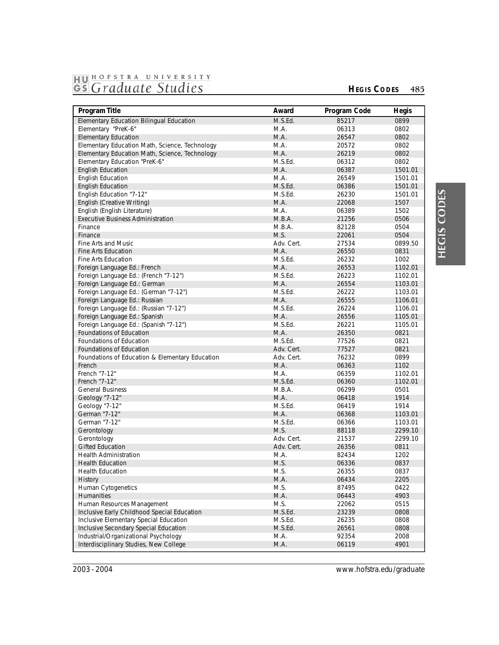# **1HJ01 HOFSTRA UNIVER <sup>S</sup> ITY GS** Graduate Studies **HEGIS** CODES 485

| Program Title                                   | Award      | Program Code | Hegis   |
|-------------------------------------------------|------------|--------------|---------|
| Elementary Education Bilingual Education        | M.S.Ed.    | 85217        | 0899    |
| Elementary "PreK-6"                             | M.A.       | 06313        | 0802    |
| <b>Elementary Education</b>                     | M.A.       | 26547        | 0802    |
| Elementary Education Math, Science, Technology  | M.A.       | 20572        | 0802    |
| Elementary Education Math, Science, Technology  | M.A.       | 26219        | 0802    |
| Elementary Education "PreK-6"                   | M.S.Ed.    | 06312        | 0802    |
| <b>English Education</b>                        | M.A.       | 06387        | 1501.01 |
| <b>English Education</b>                        | M.A.       | 26549        | 1501.01 |
| <b>English Education</b>                        | M.S.Ed.    | 06386        | 1501.01 |
| English Education "7-12"                        | M.S.Ed.    | 26230        | 1501.01 |
| English (Creative Writing)                      | M.A.       | 22068        | 1507    |
| English (English Literature)                    | M.A.       | 06389        | 1502    |
| <b>Executive Business Administration</b>        | M.B.A.     | 21256        | 0506    |
| Finance                                         | M.B.A.     | 82128        | 0504    |
| Finance                                         | M.S.       | 22061        | 0504    |
| Fine Arts and Music                             | Adv. Cert. | 27534        | 0899.50 |
| <b>Fine Arts Education</b>                      | M.A.       | 26550        | 0831    |
| Fine Arts Education                             | M.S.Ed.    | 26232        | 1002    |
| Foreign Language Ed.: French                    | M.A.       | 26553        | 1102.01 |
| Foreign Language Ed.: (French "7-12")           | M.S.Ed.    | 26223        | 1102.01 |
| Foreign Language Ed.: German                    | M.A.       | 26554        | 1103.01 |
| Foreign Language Ed.: (German "7-12")           | M.S.Ed.    | 26222        | 1103.01 |
| Foreign Language Ed.: Russian                   | M.A.       | 26555        | 1106.01 |
| Foreign Language Ed.: (Russian "7-12")          | M.S.Ed.    | 26224        | 1106.01 |
| Foreign Language Ed.: Spanish                   | M.A.       | 26556        | 1105.01 |
| Foreign Language Ed.: (Spanish "7-12")          | M.S.Ed.    | 26221        | 1105.01 |
| Foundations of Education                        | M.A.       | 26350        | 0821    |
| Foundations of Education                        | M.S.Ed.    | 77526        | 0821    |
| Foundations of Education                        | Adv. Cert. | 77527        | 0821    |
| Foundations of Education & Elementary Education | Adv. Cert. | 76232        | 0899    |
| French                                          | M.A.       | 06363        | 1102    |
| French "7-12"                                   | M.A.       | 06359        | 1102.01 |
| French "7-12"                                   | M.S.Ed.    | 06360        | 1102.01 |
| <b>General Business</b>                         | M.B.A.     | 06299        | 0501    |
| Geology "7-12"                                  | M.A.       | 06418        | 1914    |
| Geology "7-12"                                  | M.S.Ed.    | 06419        | 1914    |
| German "7-12"                                   | M.A.       | 06368        | 1103.01 |
| German "7-12"                                   | M.S.Ed.    | 06366        | 1103.01 |
| Gerontology                                     | M.S.       | 88118        | 2299.10 |
| Gerontology                                     | Adv. Cert. | 21537        | 2299.10 |
| <b>Gifted Education</b>                         | Adv. Cert. | 26356        | 0811    |
| <b>Health Administration</b>                    | M.A.       | 82434        | 1202    |
| <b>Health Education</b>                         | M.S.       | 06336        | 0837    |
| <b>Health Education</b>                         | M.S.       | 26355        | 0837    |
| History                                         | M.A.       | 06434        | 2205    |
| Human Cytogenetics                              | M.S.       | 87495        | 0422    |
| <b>Humanities</b>                               | M.A.       | 06443        | 4903    |
| Human Resources Management                      | M.S.       | 22062        | 0515    |
| Inclusive Early Childhood Special Education     | M.S.Ed.    | 23239        | 0808    |
| Inclusive Elementary Special Education          | M.S.Ed.    | 26235        | 0808    |
| Inclusive Secondary Special Education           | M.S.Ed.    | 26561        | 0808    |
| Industrial/Organizational Psychology            | M.A.       | 92354        | 2008    |
| Interdisciplinary Studies, New College          | M.A.       | 06119        | 4901    |

HEGIS CODES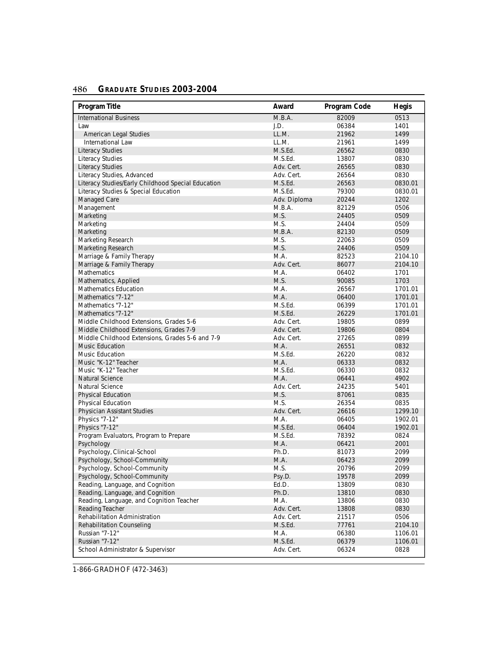# **[4](#page-0-0)86 • GRADUATE STUDIES 2003-2004**

| Program Title                                        | Award           | Program Code   | <b>Hegis</b> |
|------------------------------------------------------|-----------------|----------------|--------------|
| <b>International Business</b>                        | M.B.A.          | 82009          | 0513         |
| Law                                                  | J.D.            | 06384          | 1401         |
| American Legal Studies                               | LL.M.           | 21962          | 1499         |
| International Law                                    | LL.M.           | 21961          | 1499         |
| <b>Literacy Studies</b>                              | M.S.Ed.         | 26562          | 0830         |
| <b>Literacy Studies</b>                              | M.S.Ed.         | 13807          | 0830         |
| <b>Literacy Studies</b>                              | Adv. Cert.      | 26565          | 0830         |
| Literacy Studies, Advanced                           | Adv. Cert.      | 26564          | 0830         |
| Literacy Studies/Early Childhood Special Education   | M.S.Ed.         | 26563          | 0830.01      |
| Literacy Studies & Special Education                 | M.S.Ed.         | 79300          | 0830.01      |
| Managed Care                                         | Adv. Diploma    | 20244          | 1202         |
| Management                                           | M.B.A.          | 82129          | 0506         |
| Marketing                                            | M.S.            | 24405          | 0509         |
| Marketing                                            | M.S.            | 24404          | 0509         |
| Marketing                                            | M.B.A.          | 82130          | 0509         |
| Marketing Research                                   | M.S.            | 22063          | 0509         |
| Marketing Research                                   | M.S.            | 24406          | 0509         |
| Marriage & Family Therapy                            | M.A.            | 82523          | 2104.10      |
| Marriage & Family Therapy                            | Adv. Cert.      | 86077          | 2104.10      |
| <b>Mathematics</b>                                   | M.A.            | 06402          | 1701         |
| Mathematics, Applied                                 | M.S.            | 90085          | 1703         |
| <b>Mathematics Education</b>                         | M.A.            | 26567          | 1701.01      |
| Mathematics "7-12"                                   | M.A.            | 06400          | 1701.01      |
| Mathematics "7-12"                                   | M.S.Ed.         | 06399          | 1701.01      |
| Mathematics "7-12"                                   | M.S.Ed.         | 26229          | 1701.01      |
| Middle Childhood Extensions, Grades 5-6              | Adv. Cert.      | 19805          | 0899         |
| Middle Childhood Extensions, Grades 7-9              | Adv. Cert.      | 19806          | 0804         |
| Middle Childhood Extensions, Grades 5-6 and 7-9      | Adv. Cert.      | 27265          | 0899         |
| <b>Music Education</b>                               | M.A.            | 26551          | 0832         |
| <b>Music Education</b>                               | M.S.Ed.         | 26220          | 0832         |
| Music "K-12" Teacher                                 | M.A.            | 06333          | 0832         |
| Music "K-12" Teacher                                 | M.S.Ed.         | 06330          | 0832         |
| Natural Science                                      | M.A.            | 06441          | 4902         |
| Natural Science                                      | Adv. Cert.      | 24235          | 5401         |
| Physical Education                                   | M.S.            | 87061          | 0835         |
| Physical Education                                   | M.S.            | 26354          | 0835         |
| Physician Assistant Studies                          | Adv. Cert.      | 26616          | 1299.10      |
| Physics "7-12"                                       | M.A.<br>M.S.Ed. | 06405          | 1902.01      |
| Physics "7-12"                                       |                 | 06404          | 1902.01      |
| Program Evaluators, Program to Prepare<br>Psychology | M.S.Ed.         | 78392          | 0824         |
| Psychology, Clinical-School                          | M.A.<br>Ph.D.   | 06421          | 2001         |
| Psychology, School-Community                         | M.A.            | 81073<br>06423 | 2099<br>2099 |
| Psychology, School-Community                         | M.S.            | 20796          | 2099         |
| Psychology, School-Community                         | Psy.D.          | 19578          | 2099         |
| Reading, Language, and Cognition                     | Ed.D.           | 13809          | 0830         |
| Reading, Language, and Cognition                     | Ph.D.           | 13810          | 0830         |
| Reading, Language, and Cognition Teacher             | M.A.            | 13806          | 0830         |
| Reading Teacher                                      | Adv. Cert.      | 13808          | 0830         |
| Rehabilitation Administration                        | Adv. Cert.      | 21517          | 0506         |
| Rehabilitation Counseling                            | M.S.Ed.         | 77761          | 2104.10      |
| Russian "7-12"                                       | M.A.            | 06380          | 1106.01      |
| Russian "7-12"                                       | M.S.Ed.         | 06379          | 1106.01      |
| School Administrator & Supervisor                    | Adv. Cert.      | 06324          | 0828         |
|                                                      |                 |                |              |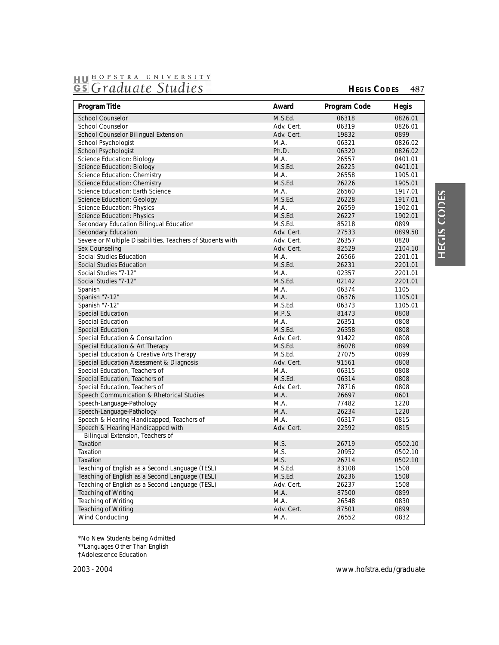# **1HJ01 HOFSTRA UNIVER <sup>S</sup> ITY GS** Graduate Studies **HEGIS** CODES 487

#### School Counselor Control Counselor M.S.Ed. 06318 0826.01 School Counselor Adv. Cert. 06319 0826.01 School Counselor Bilingual Extension and Adv. Cert. 19832 0899<br>School Psychologist 19826.02 School Psychologist M.A. 06321 0826.02 School Psychologist Science Education: Biology M.A. 26557 0401.01 Science Education: Biology **M.S.Ed.** 26225 0401.01<br>Science Education: Chemistry **M.A.** 26558 1905.01 Science Education: Chemistry **1905.01**<br>Science Education: Chemistry **M.A.** 26558 1905.01<br>M.S.Ed. 26226 1905.01 Science Education: Chemistry Science Education: Earth Science **M.A.** 26560 1917.01 Science Education: Geology **M.S.Ed.** 26228 1917.01<br>Science Education: Physics **1917.01** M.A. 26559 1902.01 Science Education: Physics **1902.01**<br>Science Education: Physics **M.A. 26559** 1902.01<br>M.S.Fd. 26227 1902.01 Science Education: Physics<br>
Secondary Education Bilingual Education<br>
M.S.Ed. 26227 1902<br>
M.S.Ed. 25218 0899 Secondary Education Bilingual Education **M.S.Ed.** 85218 0899<br>Secondary Education **M.S. 27533** 0899.50 Secondary Education Severe or Multiple Disabilities, Teachers of Students with  $\begin{array}{ccc} \text{Adv. Cert.} & 26357 & 0820 \\ \text{Sex} & \text{Gourseling} & 2104.10 \end{array}$ Sex Counseling 100 and the counseling and the counseling and the counseling and the counseling and the counseling the counseling of the counseling of the counseling and the counseling of the counseling of the counseling of Social Studies Education **1988** Control of M.A. 26566 2201.01<br>1991 - Social Studies Education 1991 - 1992 1993 1994 M.S.Ed. 26231 2201.01 Social Studies Education 1991 10.5 Australian 1991 10.5 Australian 1992 10.6 M.S.Ed. 26231 2201.01<br>1991 12201.01 2201.01 M.A. 202357 2201.01 Social Studies "7-12" M.A. 02357 2201.01 Social Studies "7-12" M.S.Ed. 02142 2201.01 Spanish M.A. 06374 1105 Spanish "7-12" M.A. 06376 1105.01 Spanish "7-12" M.S.Ed. 06373 1105.01 Special Education and Communication and Communication and Communication and M.P.S. 81473 0808<br>Special Education 3008 Special Education M.A. 26351 0808 Special Education (Special Education of Consultation of Consultation of Consultation of Consultation (Special Education of Consultation of Consultation of Consultation of Consultation (Special Education of Consultation of Special Education & Consultation and the consultation and the consultation and Adv. Cert. (191422 0808<br>Special Education & Art Therapy and Adv. Cert. (1999) 86078 0899 Special Education & Art Therapy Special Education & Creative Arts Therapy M.S.Ed. 27075 0899<br>Special Education Assessment & Diagnosis and Arty Adv. Cert. 291561 0808 Special Education Assessment & Diagnosis and Adv. Cert. (and Adv. Cert. 191561 0808<br>Special Education, Teachers of Company and Adv. A. (and Adv. Cert. 196315 0808 Special Education, Teachers of M.A. 66315 0808<br>Special Education, Teachers of M.S.Ed. 66314 06314 0808 Special Education, Teachers of M.S.Ed. 06314 Special Education, Teachers of Contraction Control Cert. 28716 0808<br>
Speech Communication & Rhetorical Studies Contraction Contraction Contraction Contraction Contraction Contract<br>
M.A. 26697 0601 Speech Communication & Rhetorical Studies M.A. 26697 0601<br>Speech-Language-Pathology 1220 1220 Speech-Language-Pathology M.A. 77482 1220 Speech-Language-Pathology Speech & Hearing Handicapped, Teachers of M.A. 68317 0815 Speech & Hearing Handicapped with Adv. Cert. 22592 0815 Bilingual Extension, Teachers of<br>Taxation Taxation M.S. 26719 0502.10 Taxation M.S. 20952 0502.10 Taxation M.S. 26714 0502.10 Teaching of English as a Second Language (TESL) M.S.Ed. 83108 1508<br>Teaching of English as a Second Language (TESL) M.S.Ed. 26236 1508 Teaching of English as a Second Language (TESL) M.S.Ed. 26236 1508<br>Teaching of English as a Second Language (TESL) Adv. Cert. 26237 1508 Teaching of English as a Second Language (TESL) and Adv. Cert. 26237 1508<br>Teaching of Writing 1999 160899 Teaching of Writing M.A. 87500 0899 Teaching of Writing M.A. 26548 0830 Teaching of Writing **Adv.** Cert. 87501 0899 Wind Conducting **M.A.** 26552 0832 **Program Title Award Program Code Hegis Award Program Code Hegis**

\*No New Students being Admitted

\*\*Languages Other Than English

†Adolescence Education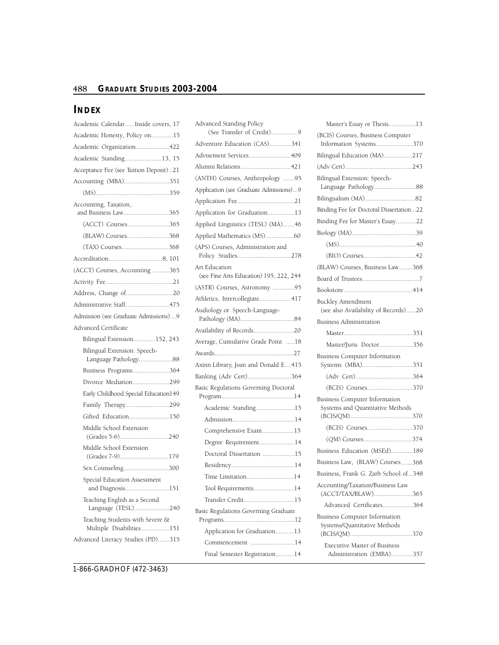# **488 • GRADUATE STUDIES 2003-2004**

# **INDEX**

| Academic CalendarInside covers, 17                                    |
|-----------------------------------------------------------------------|
| Academic Honesty, Policy on15                                         |
| Academic Organization422                                              |
| Academic Standing13, 15                                               |
| Acceptance Fee (see Tuition Deposit)21                                |
| Accounting (MBA)351                                                   |
|                                                                       |
| Accounting, Taxation,<br>and Business Law365                          |
| (ACCT) Courses365                                                     |
| (BLAW) Courses368                                                     |
| (TAX) Courses368                                                      |
|                                                                       |
| (ACCT) Courses, Accounting 365                                        |
|                                                                       |
|                                                                       |
| Administrative Staff475                                               |
| Admission (see Graduate Admissions)9                                  |
| Advanced Certificate                                                  |
|                                                                       |
| Bilingual Extension152, 243                                           |
| Bilingual Extension: Speech-<br>Language Pathology88                  |
| Business Programs364                                                  |
| Divorce Mediation299                                                  |
| Early Childhood Special Education149                                  |
| Family Therapy299                                                     |
| Gifted Education150                                                   |
| Middle School Extension<br>(Grades 5-6)240                            |
| Middle School Extension<br>(Grades 7-9)179                            |
|                                                                       |
| Sex Counseling300<br>Special Education Assessment<br>and Diagnosis151 |
| Teaching English as a Second<br>Language (TESL)240                    |
| Teaching Students with Severe &<br>Multiple Disabilities151           |

| Advanced Standing Policy<br>(See Transfer of Credit)9    |
|----------------------------------------------------------|
| Adventure Education (CAS)341                             |
| Advisement Services409                                   |
| Alumni Relations421                                      |
| (ANTH) Courses, Anthropology 95                          |
| Application (see Graduate Admissions)9                   |
|                                                          |
| Application for Graduation13                             |
| Applied Linguistics (TESL) (MA)46                        |
| Applied Mathematics (MS)60                               |
| (APS) Courses, Administration and                        |
| Policy Studies278                                        |
| Art Education<br>(see Fine Arts Education) 195, 222, 244 |
| (ASTR) Courses, Astronomy 95                             |
| Athletics, Intercollegiate417                            |
| Audiology or Speech-Language-                            |
| Availability of Records20                                |
| Average, Cumulative Grade Point 18                       |
|                                                          |
| Axinn Library, Joan and Donald E415                      |
| Banking (Adv Cert)364                                    |
| Basic Regulations Governing Doctoral                     |
| Academic Standing15                                      |
|                                                          |
| Comprehensive Exam15                                     |
| Degree Requirement14                                     |
| Doctoral Dissertation 15                                 |
|                                                          |
| Time Limitation14                                        |
| Tool Requirements14                                      |
| Transfer Credit15                                        |
| Basic Regulations Governing Graduate                     |
| Application for Graduation13                             |
| Commencement 14                                          |
| Final Semester Registration14                            |
|                                                          |

| Master's Essay or Thesis13                                               |
|--------------------------------------------------------------------------|
| (BCIS) Courses, Business Computer<br>Information Systems370              |
|                                                                          |
| Bilingual Education (MA)217                                              |
|                                                                          |
| Bilingual Extension: Speech-<br>Language Pathology88                     |
|                                                                          |
| Binding Fee for Doctoral Dissertation22                                  |
| Binding Fee for Master's Essay22                                         |
|                                                                          |
|                                                                          |
|                                                                          |
| (BLAW) Courses, Business Law368                                          |
|                                                                          |
|                                                                          |
| <b>Buckley Amendment</b><br>(see also Availability of Records)20         |
| <b>Business Administration</b>                                           |
|                                                                          |
| Master/Juris Doctor356                                                   |
| <b>Business Computer Information</b><br>Systems (MBA)351                 |
|                                                                          |
| (BCIS) Courses370                                                        |
| <b>Business Computer Information</b><br>Systems and Quantitative Methods |
| (BCIS) Courses370                                                        |
| (QM) Courses374                                                          |
| Business Education (MSEd)189                                             |
| Business Law, (BLAW) Courses368                                          |
| Business, Frank G. Zarb School of348                                     |
| Accounting/Taxation/Business Law<br>(ACCT/TAX/BLAW)365                   |
| Advanced Certificates364                                                 |
| <b>Business Computer Information</b><br>Systems/Quantitative Methods     |
| Executive Master of Business<br>Administration (EMBA)357                 |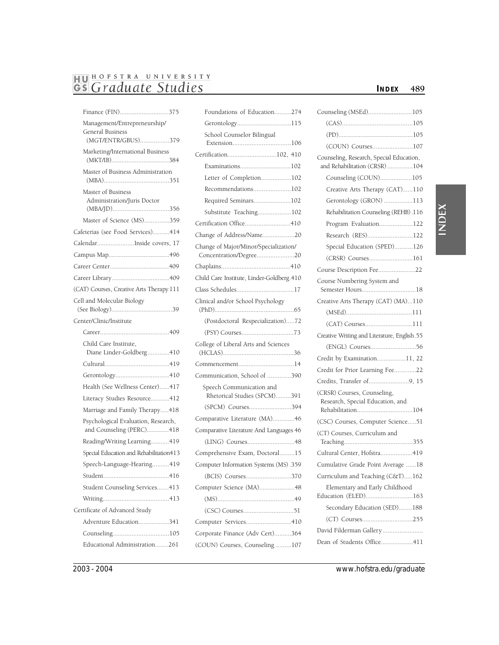# **IBIU] HOFSTRA UNIVERSITY**  *GS Graduate Studies INDEX 489*

| Finance (FIN)375                                                       |
|------------------------------------------------------------------------|
| Management/Entrepreneurship/<br>General Business<br>(MGT/ENTR/GBUS)379 |
| Marketing/International Business                                       |
| Master of Business Administration                                      |
| Master of Business<br>Administration/Juris Doctor                      |
| Master of Science (MS)359                                              |
| Cafeterias (see Food Services)414                                      |
| CalendarInside covers, 17                                              |
|                                                                        |
|                                                                        |
|                                                                        |
| (CAT) Courses, Creative Arts Therapy 111                               |
| Cell and Molecular Biology                                             |
| Center/Clinic/Institute                                                |
|                                                                        |
| Child Care Institute,<br>Diane Linder-Goldberg410                      |
|                                                                        |
|                                                                        |
| Health (See Wellness Center)417                                        |
| Literacy Studies Resource412                                           |
|                                                                        |
| Marriage and Family Therapy418                                         |
| Psychological Evaluation, Research,<br>and Counseling (PERC)418        |
| Reading/Writing Learning419                                            |
| Special Education and Rehabilitation413                                |
| Speech-Language-Hearing419                                             |
| Student<br>416                                                         |
| Student Counseling Services413                                         |
|                                                                        |
| Certificate of Advanced Study                                          |
| Adventure Education341                                                 |
|                                                                        |

| Foundations of Education274                                     |
|-----------------------------------------------------------------|
| Gerontology115                                                  |
| School Counselor Bilingual                                      |
| Certification102, 410                                           |
| Examinations102                                                 |
| Letter of Completion102                                         |
| Recommendations102                                              |
| Required Seminars102                                            |
| Substitute Teaching102                                          |
| Certification Office410                                         |
| Change of Address/Name20                                        |
| Change of Major/Minor/Specialization/<br>Concentration/Degree20 |
|                                                                 |
| Child Care Institute, Linder-Goldberg.410                       |
| Class Schedules17                                               |
| Clinical and/or School Psychology                               |
| (Postdoctoral Respecialization)72                               |
|                                                                 |
| College of Liberal Arts and Sciences                            |
| Commencement14                                                  |
| Communication, School of 390                                    |
| Speech Communication and<br>Rhetorical Studies (SPCM)391        |
| (SPCM) Courses394                                               |
| Comparative Literature (MA)46                                   |
| Comparative Literature And Languages 46                         |
| (LING) Courses48                                                |
| Comprehensive Exam, Doctoral15                                  |
| Computer Information Systems (MS) .359                          |
| (BCIS) Courses370                                               |
| Computer Science (MA)48                                         |
|                                                                 |
| (CSC) Courses51                                                 |
| Computer Services410                                            |
| Corporate Finance (Adv Cert)364                                 |
| (COUN) Courses, Counseling 107                                  |

# Counseling (MSEd)..........................105 (CAS).........................................105 (PD)............................................105 (COUN) Courses........................107 Counseling, Research, Special Education, and Rehabilitation (CRSR) ...............104 Counseling (COUN)...................105 Creative Arts Therapy (CAT)......110 Gerontology (GRON) .................113 Rehabilitation Counseling (REHB) .116 Program Evaluation....................122 Research (RES)...........................122 Special Education (SPED)...........126 (CRSR) Courses..........................161 Course Description Fee......................22 Course Numbering System and Semester Hours................................18 Creative Arts Therapy (CAT) (MA)...110 (MSEd).......................................111 (CAT) Courses............................111 Creative Writing and Literature, English.55 (ENGL) Courses...........................56 Credit by Examination.................11, 22 Credit for Prior Learning Fee.............22 Credits, Transfer of........................9, 15 (CRSR) Courses, Counseling, Research, Special Education, and Rehabilitation.................................104 (CSC) Courses, Computer Science.....51 (CT) Courses, Curriculum and Teaching........................................355 Cultural Center, Hofstra...................419 Cumulative Grade Point Average ......18 Curriculum and Teaching (C&T).....162 Elementary and Early Childhood Education (ELED)............................163 Secondary Education (SED)........188 (CT) Courses..............................255 David Filderman Gallery........................ Dean of Students Office...................411

# INDEX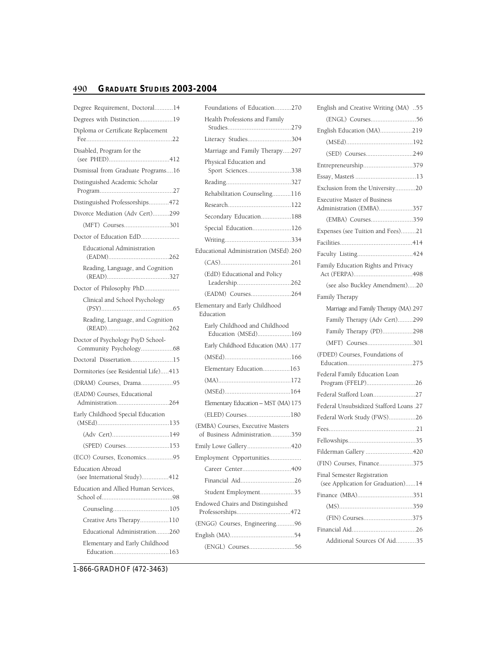# **490 [GR A D UAT E ST U D I E S 2 0 0 3 - 2 0 04](#page-0-0)**

| Degree Requirement, Doctoral14                   |
|--------------------------------------------------|
| Degrees with Distinction19                       |
| Diploma or Certificate Replacement               |
| Disabled, Program for the                        |
| Dismissal from Graduate Programs16               |
| Distinguished Academic Scholar                   |
| Distinguished Professorships472                  |
| Divorce Mediation (Adv Cert)299                  |
| (MFT) Courses301                                 |
| Doctor of Education EdD                          |
| Educational Administration                       |
|                                                  |
| Reading, Language, and Cognition                 |
| Doctor of Philosophy PhD                         |
| Clinical and School Psychology                   |
| Reading, Language, and Cognition                 |
| Doctor of Psychology PsyD School-                |
| Doctoral Dissertation15                          |
| Dormitories (see Residential Life)413            |
| (DRAM) Courses, Drama95                          |
| (EADM) Courses, Educational<br>Administration264 |
| Early Childhood Special Education                |
|                                                  |
|                                                  |
| (SPED) Courses153                                |
| (ECO) Courses, Economics95                       |
| Education Abroad<br>(see International Study)412 |
| Education and Allied Human Services,             |
|                                                  |
| Creative Arts Therapy110                         |
| Educational Administration260                    |
| Elementary and Early Childhood                   |

| Foundations of Education270                                        |
|--------------------------------------------------------------------|
| Health Professions and Family                                      |
|                                                                    |
| Literacy Studies304                                                |
| Marriage and Family Therapy297                                     |
| Physical Education and                                             |
| Sport Sciences338                                                  |
|                                                                    |
| Rehabilitation Counseling116                                       |
|                                                                    |
| Secondary Education188                                             |
| Special Education126                                               |
|                                                                    |
| Educational Administration (MSEd).260                              |
|                                                                    |
| (EdD) Educational and Policy                                       |
| Leadership262                                                      |
| (EADM) Courses264                                                  |
| Elementary and Early Childhood<br>Education                        |
| Early Childhood and Childhood<br>Education (MSEd)169               |
| Early Childhood Education (MA) .177                                |
|                                                                    |
| Elementary Education163                                            |
|                                                                    |
|                                                                    |
| Elementary Education - MST (MA) 175                                |
| (ELED) Courses180                                                  |
| (EMBA) Courses, Executive Masters<br>of Business Administration359 |
| Emily Lowe Gallery420                                              |
| Employment Opportunities                                           |
| Career Center409                                                   |
| Financial Aid26                                                    |
| Student Employment35                                               |
| Endowed Chairs and Distinguished                                   |
| Professorships472                                                  |
| (ENGG) Courses, Engineering96                                      |
|                                                                    |
| (ENGL) Courses56                                                   |

| English and Creative Writing (MA) 55                              |
|-------------------------------------------------------------------|
| (ENGL) Courses56                                                  |
| English Education (MA)219                                         |
|                                                                   |
| (SED) Courses249                                                  |
| Entrepreneurship379                                               |
|                                                                   |
| Exclusion from the University20                                   |
| <b>Executive Master of Business</b><br>Administration (EMBA)357   |
| (EMBA) Courses359                                                 |
| Expenses (see Tuition and Fees)21                                 |
|                                                                   |
|                                                                   |
|                                                                   |
| Family Education Rights and Privacy                               |
| (see also Buckley Amendment)20                                    |
| Family Therapy                                                    |
| Marriage and Family Therapy (MA).297                              |
| Family Therapy (Adv Cert)299                                      |
| Family Therapy (PD)298                                            |
| (MFT) Courses301                                                  |
| (FDED) Courses, Foundations of                                    |
| Federal Family Education Loan                                     |
| Program (FFELP)26                                                 |
| Federal Stafford Loan27                                           |
| Federal Unsubsidized Stafford Loans .27                           |
| Federal Work Study (FWS)26                                        |
|                                                                   |
|                                                                   |
| Filderman Gallery 420                                             |
| (FIN) Courses, Finance375                                         |
| Final Semester Registration<br>(see Application for Graduation)14 |
| Finance (MBA)351                                                  |
|                                                                   |
| (FIN) Courses375                                                  |
|                                                                   |
| Additional Sources Of Aid35                                       |
|                                                                   |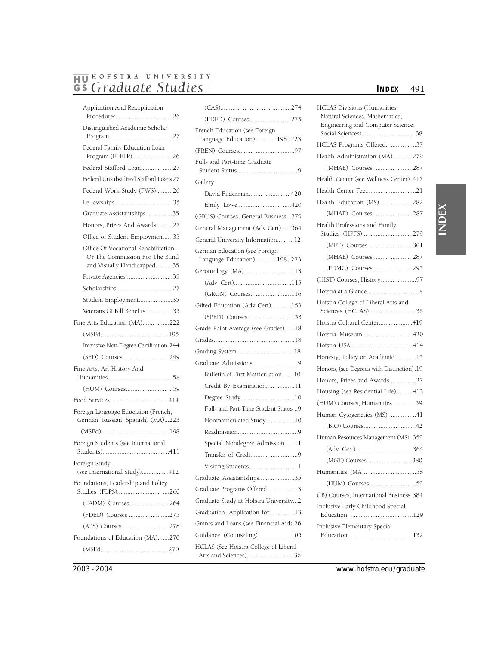# **IBIU] HOFSTRA UNIVERSITY**  *GS Graduate Studies INDEX 491*

| Application And Reapplication                                                                        |
|------------------------------------------------------------------------------------------------------|
| Distinguished Academic Scholar                                                                       |
| Federal Family Education Loan<br>Program (FFELP)26                                                   |
| Federal Stafford Loan27                                                                              |
| Federal Unsubsidized Stafford Loans 27                                                               |
| Federal Work Study (FWS)26                                                                           |
|                                                                                                      |
| Graduate Assistantships35                                                                            |
| Honors, Prizes And Awards27                                                                          |
| Office of Student Employment35                                                                       |
| Office Of Vocational Rehabilitation<br>Or The Commission For The Blind<br>and Visually Handicapped35 |
| Private Agencies35                                                                                   |
|                                                                                                      |
| Student Employment35                                                                                 |
| Veterans GI Bill Benefits 35                                                                         |
| Fine Arts Education (MA)222                                                                          |
|                                                                                                      |
| Intensive Non-Degree Certification.244                                                               |
| (SED) Courses249                                                                                     |
| Fine Arts, Art History And                                                                           |
| (HUM) Courses59                                                                                      |
|                                                                                                      |
| Foreign Language Education (French,<br>German, Russian, Spanish) (MA)223                             |
|                                                                                                      |
| Foreign Students (see International                                                                  |
| Foreign Study<br>(see International Study)412                                                        |
| Foundations, Leadership and Policy<br>Studies (FLPS)260                                              |
| (EADM) Courses264                                                                                    |
| (FDED) Courses275                                                                                    |
| (APS) Courses 278                                                                                    |
| Foundations of Education (MA)270                                                                     |
|                                                                                                      |

| (FDED) Courses275                                             |
|---------------------------------------------------------------|
| French Education (see Foreign<br>Language Education)198, 223  |
|                                                               |
| Full- and Part-time Graduate                                  |
| Gallery                                                       |
| David Filderman420                                            |
| Emily Lowe420                                                 |
| (GBUS) Courses, General Business379                           |
| General Management (Adv Cert)364                              |
| General University Information12                              |
| German Education (see Foreign<br>Language Education)198, 223  |
| Gerontology (MA)113                                           |
| (Adv Cert)115                                                 |
| (GRON) Courses116                                             |
| Gifted Education (Adv Cert)153                                |
| (SPED) Courses153                                             |
| Grade Point Average (see Grades)18                            |
|                                                               |
|                                                               |
|                                                               |
| Bulletin of First Matriculation10                             |
| Credit By Examination11                                       |
| Degree Study10                                                |
| Pull- and Part-Time Student Status 9                          |
| Nonmatriculated Study 10                                      |
|                                                               |
| Special Nondegree Admission11                                 |
|                                                               |
| Visiting Students11                                           |
| Graduate Assistantships35                                     |
| Graduate Programs Offered3                                    |
| Graduate Study at Hofstra University2                         |
| Graduation, Application for13                                 |
| Grants and Loans (see Financial Aid).26                       |
| Guidance (Counseling)105                                      |
| HCLAS (See Hofstra College of Liberal<br>Arts and Sciences)36 |

| HCLAS Divisions (Humanities;                       |
|----------------------------------------------------|
| Natural Sciences, Mathematics,                     |
| Engineering and Computer Science;                  |
| Social Sciences)38                                 |
| HCLAS Programs Offered37                           |
| Health Administration (MA)279                      |
| (MHAE) Courses287                                  |
| Health Center (see Wellness Center) .417           |
| Health Center Fee21                                |
| Health Education (MS)282                           |
| (MHAE) Courses287                                  |
| Health Professions and Family<br>Studies (HPFS)279 |
| (MFT) Courses301                                   |
| (MHAE) Courses287                                  |
| (PDMC) Courses295                                  |
| (HIST) Courses, History97                          |
|                                                    |
| Hofstra College of Liberal Arts and                |
| Sciences (HCLAS)36                                 |
| Hofstra Cultural Center419                         |
| Hofstra Museum420                                  |
|                                                    |
| Honesty, Policy on Academic15                      |
| Honors, (see Degrees with Distinction).19          |
| Honors, Prizes and Awards27                        |
| Housing (see Residential Life)413                  |
| (HUM) Courses, Humanities59                        |
| Human Cytogenetics (MS)41                          |
|                                                    |
| Human Resources Management (MS)359                 |
|                                                    |
| (MGT) Courses380                                   |
|                                                    |
| (HUM) Courses59                                    |
| (IB) Courses, International Business .384          |
| Inclusive Early Childhood Special                  |
| Inclusive Elementary Special                       |
|                                                    |

# **INDEX**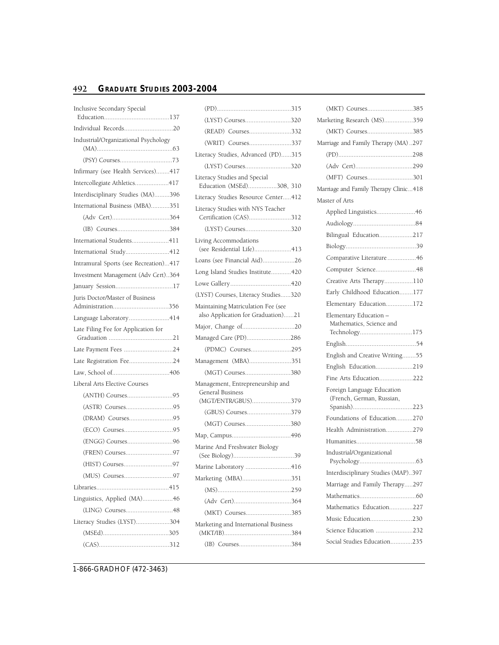# **492 [GR A D UAT E ST U D I E S 2 0 0 3 - 2 0 04](#page-0-0)**

| Inclusive Secondary Special                                          |
|----------------------------------------------------------------------|
|                                                                      |
| Industrial/Organizational Psychology                                 |
|                                                                      |
| Infirmary (see Health Services)417                                   |
| Intercollegiate Athletics417                                         |
|                                                                      |
| Interdisciplinary Studies (MA)396<br>International Business (MBA)351 |
|                                                                      |
|                                                                      |
|                                                                      |
| International Students411                                            |
| International Study412                                               |
| Intramural Sports (see Recreation)417                                |
| Investment Management (Adv Cert)364                                  |
|                                                                      |
| Juris Doctor/Master of Business                                      |
| Language Laboratory414                                               |
| Late Filing Fee for Application for                                  |
| Late Payment Fees 24                                                 |
| Late Registration Fee24                                              |
|                                                                      |
| Liberal Arts Elective Courses                                        |
| (ANTH) Courses95                                                     |
| (ASTR) Courses95                                                     |
| (DRAM) Courses95                                                     |
|                                                                      |
|                                                                      |
| (FREN) Courses97                                                     |
| (HIST) Courses97                                                     |
|                                                                      |
|                                                                      |
| Linguistics, Applied (MA)46                                          |
|                                                                      |
| Literacy Studies (LYST)304                                           |
|                                                                      |
|                                                                      |

| (LYST) Courses320                                                          |
|----------------------------------------------------------------------------|
| (READ) Courses332                                                          |
| (WRIT) Courses337                                                          |
| Literacy Studies, Advanced (PD)315                                         |
| (LYST) Courses320                                                          |
| Literacy Studies and Special<br>Education (MSEd)308, 310                   |
| Literacy Studies Resource Center412                                        |
| Literacy Studies with NYS Teacher<br>Certification (CAS)312                |
| (LYST) Courses320                                                          |
| Living Accommodations<br>(see Residential Life)413                         |
| Loans (see Financial Aid)26                                                |
| Long Island Studies Institute420                                           |
|                                                                            |
| (LYST) Courses, Literacy Studies320                                        |
| Maintaining Matriculation Fee (see<br>also Application for Graduation)21   |
|                                                                            |
| Managed Care (PD)286                                                       |
| (PDMC) Courses295                                                          |
| Management (MBA)351                                                        |
| (MGT) Courses380                                                           |
| Management, Entrepreneurship and<br>General Business<br>(MGT/ENTR/GBUS)379 |
| (GBUS) Courses379                                                          |
| (MGT) Courses380                                                           |
|                                                                            |
| Marine And Freshwater Biology                                              |
|                                                                            |
| Marine Laboratory 416                                                      |
| Marketing (MBA)351                                                         |
|                                                                            |
|                                                                            |
| (MKT) Courses385                                                           |
| Marketing and International Business                                       |
|                                                                            |
|                                                                            |

| (MKT) Courses385                      |
|---------------------------------------|
| Marketing Research (MS)359            |
| (MKT) Courses385                      |
| Marriage and Family Therapy (MA) 297  |
|                                       |
|                                       |
| (MFT) Courses301                      |
| Marriage and Family Therapy Clinic418 |
| Master of Arts                        |
| Applied Linguistics46                 |
|                                       |
| Bilingual Education217                |
|                                       |
| Comparative Literature46              |
| Computer Science48                    |
| Creative Arts Therapy110              |
| Early Childhood Education177          |
| Elementary Education172               |
| Elementary Education -                |
| Mathematics, Science and              |
| Technology175                         |
|                                       |
| English and Creative Writing55        |
| English Education219                  |
| Fine Arts Education222                |
| Foreign Language Education            |
| (French, German, Russian,             |
| Foundations of Education270           |
| Health Administration279              |
|                                       |
| Industrial/Organizational             |
|                                       |
| Interdisciplinary Studies (MAP)397    |
| Marriage and Family Therapy297        |
|                                       |
| Mathematics Education227              |
| Music Education230                    |
| Science Education 232                 |
| Social Studies Education235           |
|                                       |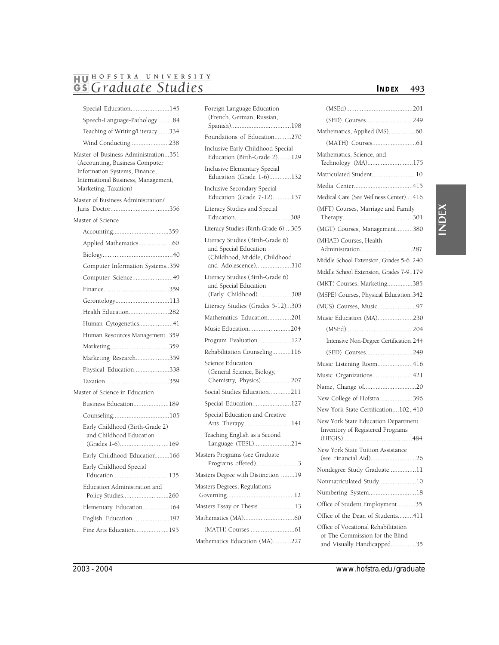# **IBIU] HOFSTRA UNIVERSITY**  *GS Graduate Studies* **INDEX** 493

| Speech-Language-Pathology84<br>Teaching of Writing/Literacy334<br>Wind Conducting238<br>Master of Business Administration351<br>(Accounting, Business Computer<br>Information Systems, Finance,<br>International Business, Management,<br>Marketing, Taxation)<br>Master of Business Administration/<br>Master of Science<br>Computer Information Systems359<br>Computer Science49<br>Gerontology113<br>Health Education282<br>Human Cytogenetics41<br>Human Resources Management359<br>Marketing Research359<br>Physical Education338<br>Master of Science in Education<br>Business Education189<br>Counseling105<br>Early Childhood (Birth-Grade 2)<br>and Childhood Education<br>(Grades 1-6)169<br>Early Childhood Education166<br>Early Childhood Special<br>Education<br>Education Administration and<br>Policy Studies260<br>Elementary Education164<br>English Education192<br>Fine Arts Education195 |
|---------------------------------------------------------------------------------------------------------------------------------------------------------------------------------------------------------------------------------------------------------------------------------------------------------------------------------------------------------------------------------------------------------------------------------------------------------------------------------------------------------------------------------------------------------------------------------------------------------------------------------------------------------------------------------------------------------------------------------------------------------------------------------------------------------------------------------------------------------------------------------------------------------------|
|                                                                                                                                                                                                                                                                                                                                                                                                                                                                                                                                                                                                                                                                                                                                                                                                                                                                                                               |
|                                                                                                                                                                                                                                                                                                                                                                                                                                                                                                                                                                                                                                                                                                                                                                                                                                                                                                               |
|                                                                                                                                                                                                                                                                                                                                                                                                                                                                                                                                                                                                                                                                                                                                                                                                                                                                                                               |
|                                                                                                                                                                                                                                                                                                                                                                                                                                                                                                                                                                                                                                                                                                                                                                                                                                                                                                               |
|                                                                                                                                                                                                                                                                                                                                                                                                                                                                                                                                                                                                                                                                                                                                                                                                                                                                                                               |
|                                                                                                                                                                                                                                                                                                                                                                                                                                                                                                                                                                                                                                                                                                                                                                                                                                                                                                               |
|                                                                                                                                                                                                                                                                                                                                                                                                                                                                                                                                                                                                                                                                                                                                                                                                                                                                                                               |
|                                                                                                                                                                                                                                                                                                                                                                                                                                                                                                                                                                                                                                                                                                                                                                                                                                                                                                               |
|                                                                                                                                                                                                                                                                                                                                                                                                                                                                                                                                                                                                                                                                                                                                                                                                                                                                                                               |
|                                                                                                                                                                                                                                                                                                                                                                                                                                                                                                                                                                                                                                                                                                                                                                                                                                                                                                               |
|                                                                                                                                                                                                                                                                                                                                                                                                                                                                                                                                                                                                                                                                                                                                                                                                                                                                                                               |
|                                                                                                                                                                                                                                                                                                                                                                                                                                                                                                                                                                                                                                                                                                                                                                                                                                                                                                               |
|                                                                                                                                                                                                                                                                                                                                                                                                                                                                                                                                                                                                                                                                                                                                                                                                                                                                                                               |
|                                                                                                                                                                                                                                                                                                                                                                                                                                                                                                                                                                                                                                                                                                                                                                                                                                                                                                               |
|                                                                                                                                                                                                                                                                                                                                                                                                                                                                                                                                                                                                                                                                                                                                                                                                                                                                                                               |
|                                                                                                                                                                                                                                                                                                                                                                                                                                                                                                                                                                                                                                                                                                                                                                                                                                                                                                               |
|                                                                                                                                                                                                                                                                                                                                                                                                                                                                                                                                                                                                                                                                                                                                                                                                                                                                                                               |
|                                                                                                                                                                                                                                                                                                                                                                                                                                                                                                                                                                                                                                                                                                                                                                                                                                                                                                               |
|                                                                                                                                                                                                                                                                                                                                                                                                                                                                                                                                                                                                                                                                                                                                                                                                                                                                                                               |
|                                                                                                                                                                                                                                                                                                                                                                                                                                                                                                                                                                                                                                                                                                                                                                                                                                                                                                               |
|                                                                                                                                                                                                                                                                                                                                                                                                                                                                                                                                                                                                                                                                                                                                                                                                                                                                                                               |
|                                                                                                                                                                                                                                                                                                                                                                                                                                                                                                                                                                                                                                                                                                                                                                                                                                                                                                               |
|                                                                                                                                                                                                                                                                                                                                                                                                                                                                                                                                                                                                                                                                                                                                                                                                                                                                                                               |
|                                                                                                                                                                                                                                                                                                                                                                                                                                                                                                                                                                                                                                                                                                                                                                                                                                                                                                               |
|                                                                                                                                                                                                                                                                                                                                                                                                                                                                                                                                                                                                                                                                                                                                                                                                                                                                                                               |
|                                                                                                                                                                                                                                                                                                                                                                                                                                                                                                                                                                                                                                                                                                                                                                                                                                                                                                               |
|                                                                                                                                                                                                                                                                                                                                                                                                                                                                                                                                                                                                                                                                                                                                                                                                                                                                                                               |
|                                                                                                                                                                                                                                                                                                                                                                                                                                                                                                                                                                                                                                                                                                                                                                                                                                                                                                               |
|                                                                                                                                                                                                                                                                                                                                                                                                                                                                                                                                                                                                                                                                                                                                                                                                                                                                                                               |
|                                                                                                                                                                                                                                                                                                                                                                                                                                                                                                                                                                                                                                                                                                                                                                                                                                                                                                               |
|                                                                                                                                                                                                                                                                                                                                                                                                                                                                                                                                                                                                                                                                                                                                                                                                                                                                                                               |

| Foreign Language Education<br>(French, German, Russian,                           |
|-----------------------------------------------------------------------------------|
| Foundations of Education270                                                       |
| Inclusive Early Childhood Special<br>Education (Birth-Grade 2)129                 |
| Inclusive Elementary Special<br>Education (Grade 1-6)132                          |
| Inclusive Secondary Special<br>Education (Grade 7-12)137                          |
| Literacy Studies and Special<br>Education308                                      |
| Literacy Studies (Birth-Grade 6)305                                               |
| Literacy Studies (Birth-Grade 6)<br>and Special Education                         |
| (Childhood, Middle, Childhood<br>and Adolescence)310                              |
| Literacy Studies (Birth-Grade 6)<br>and Special Education<br>(Early Childhood)308 |
| Literacy Studies (Grades 5-12)305                                                 |
| Mathematics Education201                                                          |
| Music Education204                                                                |
| Program Evaluation122                                                             |
| Rehabilitation Counseling116                                                      |
| Science Education<br>(General Science, Biology,<br>Chemistry, Physics)207         |
| Social Studies Education211                                                       |
| Special Education127                                                              |
| Special Education and Creative<br>Arts Therapy141                                 |
| Teaching English as a Second<br>Language (TESL)214                                |
| Masters Programs (see Graduate<br>Programs offered)3                              |
| Masters Degree with Distinction 19                                                |
| Masters Degrees, Regulations                                                      |
| Masters Essay or Thesis13                                                         |
|                                                                                   |
|                                                                                   |
| Mathematics Education (MA)227                                                     |
|                                                                                   |

# (MSEd).......................................201 (SED) Courses............................249

| Mathematics, Applied (MS)60                                                                          |
|------------------------------------------------------------------------------------------------------|
|                                                                                                      |
| Mathematics, Science, and                                                                            |
| Technology (MA)175                                                                                   |
| Matriculated Student10                                                                               |
|                                                                                                      |
| Medical Care (See Wellness Center)416                                                                |
| (MFT) Courses, Marriage and Family                                                                   |
| (MGT) Courses, Management380                                                                         |
| (MHAE) Courses, Health<br>Administration287                                                          |
| Middle School Extension, Grades 5-6240                                                               |
| Middle School Extension, Grades 7-9179                                                               |
| (MKT) Courses, Marketing385                                                                          |
| (MSPE) Courses, Physical Education.342                                                               |
| (MUS) Courses, Music97                                                                               |
| Music Education (MA)230                                                                              |
|                                                                                                      |
| Intensive Non-Degree Certification.244                                                               |
| (SED) Courses249                                                                                     |
| Music Listening Room416                                                                              |
| Music Organizations421                                                                               |
|                                                                                                      |
| New College of Hofstra396                                                                            |
| New York State Certification102, 410                                                                 |
| New York State Education Department<br>Inventory of Registered Programs                              |
| New York State Tuition Assistance<br>(see Financial Aid)26                                           |
| Nondegree Study Graduate11                                                                           |
| Nonmatriculated Study10                                                                              |
| Numbering System18                                                                                   |
| Office of Student Employment35                                                                       |
| Office of the Dean of Students411                                                                    |
| Office of Vocational Rehabilitation<br>or The Commission for the Blind<br>and Visually Handicapped35 |

# **INDEX**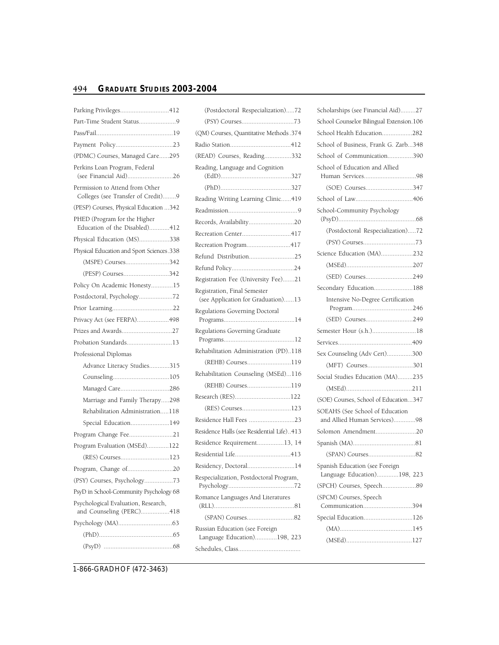# **494 [GR A D UAT E ST U D I E S 2 0 0 3 - 2 0 04](#page-0-0)**

| Parking Privileges412                                                 |
|-----------------------------------------------------------------------|
| Part-Time Student Status9                                             |
|                                                                       |
|                                                                       |
| (PDMC) Courses, Managed Care295                                       |
| Perkins Loan Program, Federal<br>(see Financial Aid)26                |
| Permission to Attend from Other<br>Colleges (see Transfer of Credit)9 |
| (PESP) Courses, Physical Education  342                               |
| PHED (Program for the Higher<br>Education of the Disabled)412         |
| Physical Education (MS)338                                            |
| Physical Education and Sport Sciences .338                            |
| (MSPE) Courses342                                                     |
| (PESP) Courses342                                                     |
| Policy On Academic Honesty15                                          |
| Postdoctoral, Psychology72                                            |
|                                                                       |
| Privacy Act (see FERPA)498                                            |
| Prizes and Awards27                                                   |
| Probation Standards13                                                 |
| Professional Diplomas                                                 |
| Advance Literacy Studies315                                           |
|                                                                       |
| Managed Care286                                                       |
| Marriage and Family Therapy298                                        |
| Rehabilitation Administration118                                      |
| Special Education149                                                  |
| Program Change Fee21                                                  |
| Program Evaluation (MSEd)122                                          |
| (RES) Courses123                                                      |
| Program, Change of20                                                  |
| (PSY) Courses, Psychology73                                           |
| PsyD in School-Community Psychology 68                                |
| Psychological Evaluation, Research,<br>and Counseling (PERC)418       |
|                                                                       |
|                                                                       |
|                                                                       |

| (Postdoctoral Respecialization)72                                  |
|--------------------------------------------------------------------|
|                                                                    |
| (QM) Courses, Quantitative Methods .374                            |
|                                                                    |
| (READ) Courses, Reading332                                         |
| Reading, Language and Cognition                                    |
|                                                                    |
| Reading Writing Learning Clinic419                                 |
|                                                                    |
| Records, Availability20                                            |
| Recreation Center417                                               |
| Recreation Program417                                              |
| Refund Distribution25                                              |
|                                                                    |
| Registration Fee (University Fee)21                                |
| Registration, Final Semester<br>(see Application for Graduation)13 |
| Regulations Governing Doctoral                                     |
| Regulations Governing Graduate                                     |
| Rehabilitation Administration (PD)118                              |
| (REHB) Courses119                                                  |
| Rehabilitation Counseling (MSEd)116                                |
| (REHB) Courses119                                                  |
| Research (RES)122                                                  |
| (RES) Courses123                                                   |
| Residence Hall Fees 23                                             |
| Residence Halls (see Residential Life)413                          |
| Residence Requirement13, 14                                        |
| Residential Life413                                                |
| Residency, Doctoral14                                              |
| Respecialization, Postdoctoral Program,                            |
| Romance Languages And Literatures                                  |
| (SPAN) Courses82                                                   |
| Russian Education (see Foreign<br>Language Education)198, 223      |
|                                                                    |
|                                                                    |

| Scholarships (see Financial Aid)27                              |
|-----------------------------------------------------------------|
| School Counselor Bilingual Extension.106                        |
| School Health Education282                                      |
| School of Business, Frank G. Zarb348                            |
| School of Communication390                                      |
| School of Education and Allied                                  |
|                                                                 |
| (SOE) Courses347                                                |
|                                                                 |
| School-Community Psychology                                     |
| (Postdoctoral Respecialization)72                               |
|                                                                 |
| Science Education (MA)232                                       |
|                                                                 |
| (SED) Courses249                                                |
| Secondary Education188                                          |
| Intensive No-Degree Certification                               |
| (SED) Courses249                                                |
| Semester Hour (s.h.)18                                          |
|                                                                 |
| Sex Counseling (Adv Cert)300                                    |
| (MFT) Courses301                                                |
| Social Studies Education (MA)235                                |
|                                                                 |
| (SOE) Courses, School of Education347                           |
| SOEAHS (See School of Education<br>and Allied Human Services)98 |
| Solomon Amendment20                                             |
|                                                                 |
| (SPAN) Courses82                                                |
| Spanish Education (see Foreign<br>Language Education)198, 223   |
| (SPCH) Courses, Speech89                                        |
| (SPCM) Courses, Speech<br>Communication394                      |
| Special Education126                                            |
|                                                                 |
|                                                                 |
|                                                                 |